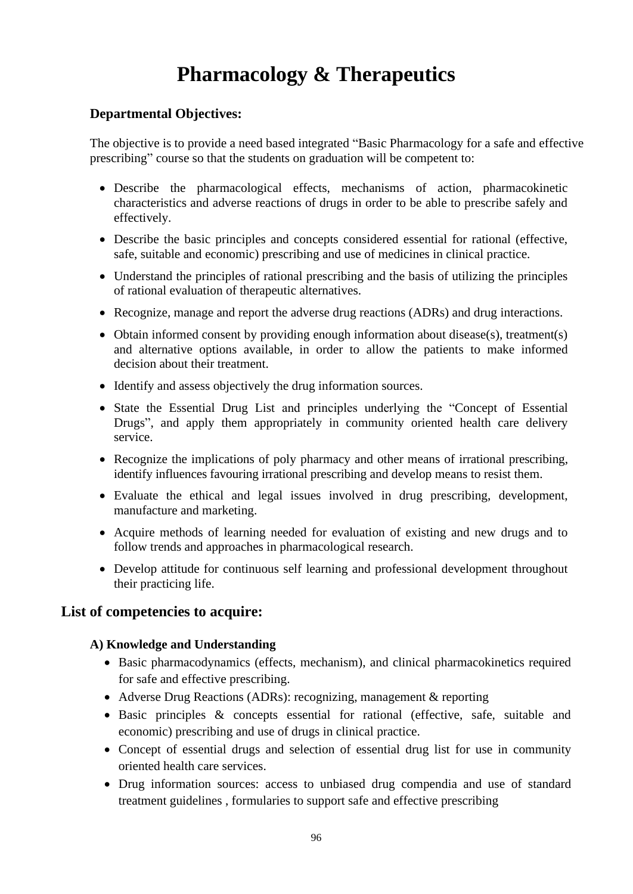# **Pharmacology & Therapeutics**

#### **Departmental Objectives:**

The objective is to provide a need based integrated "Basic Pharmacology for a safe and effective prescribing" course so that the students on graduation will be competent to:

- Describe the pharmacological effects, mechanisms of action, pharmacokinetic characteristics and adverse reactions of drugs in order to be able to prescribe safely and effectively.
- Describe the basic principles and concepts considered essential for rational (effective, safe, suitable and economic) prescribing and use of medicines in clinical practice.
- Understand the principles of rational prescribing and the basis of utilizing the principles of rational evaluation of therapeutic alternatives.
- Recognize, manage and report the adverse drug reactions (ADRs) and drug interactions.
- Obtain informed consent by providing enough information about disease(s), treatment(s) and alternative options available, in order to allow the patients to make informed decision about their treatment.
- Identify and assess objectively the drug information sources.
- State the Essential Drug List and principles underlying the "Concept of Essential Drugs", and apply them appropriately in community oriented health care delivery service.
- Recognize the implications of poly pharmacy and other means of irrational prescribing, identify influences favouring irrational prescribing and develop means to resist them.
- Evaluate the ethical and legal issues involved in drug prescribing, development, manufacture and marketing.
- Acquire methods of learning needed for evaluation of existing and new drugs and to follow trends and approaches in pharmacological research.
- Develop attitude for continuous self learning and professional development throughout their practicing life.

### **List of competencies to acquire:**

#### **A) Knowledge and Understanding**

- Basic pharmacodynamics (effects, mechanism), and clinical pharmacokinetics required for safe and effective prescribing.
- Adverse Drug Reactions (ADRs): recognizing, management & reporting
- Basic principles & concepts essential for rational (effective, safe, suitable and economic) prescribing and use of drugs in clinical practice.
- Concept of essential drugs and selection of essential drug list for use in community oriented health care services.
- Drug information sources: access to unbiased drug compendia and use of standard treatment guidelines , formularies to support safe and effective prescribing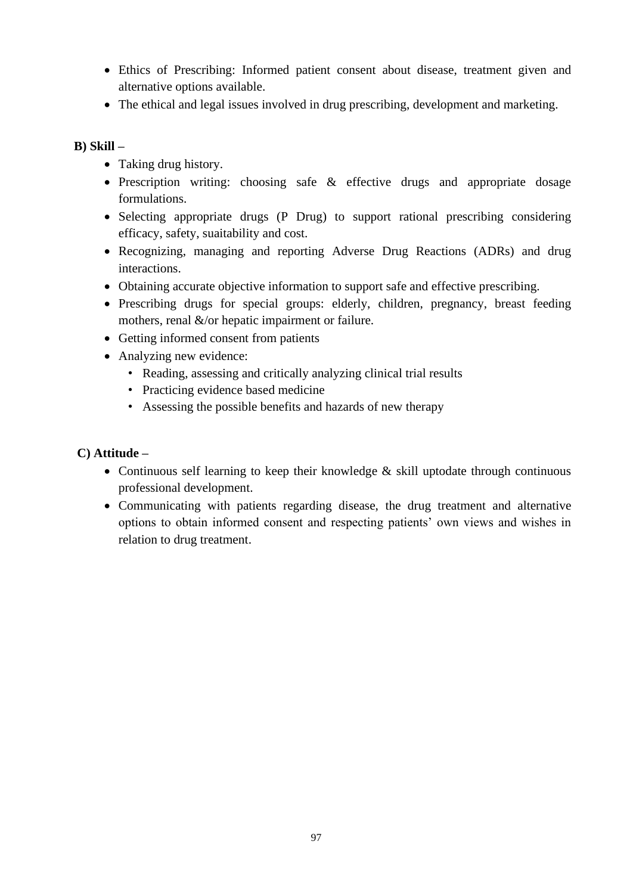- Ethics of Prescribing: Informed patient consent about disease, treatment given and alternative options available.
- The ethical and legal issues involved in drug prescribing, development and marketing.

#### **B) Skill –**

- Taking drug history.
- Prescription writing: choosing safe & effective drugs and appropriate dosage formulations.
- Selecting appropriate drugs (P Drug) to support rational prescribing considering efficacy, safety, suaitability and cost.
- Recognizing, managing and reporting Adverse Drug Reactions (ADRs) and drug interactions.
- Obtaining accurate objective information to support safe and effective prescribing.
- Prescribing drugs for special groups: elderly, children, pregnancy, breast feeding mothers, renal &/or hepatic impairment or failure.
- Getting informed consent from patients
- Analyzing new evidence:
	- Reading, assessing and critically analyzing clinical trial results
	- Practicing evidence based medicine
	- Assessing the possible benefits and hazards of new therapy

#### **C) Attitude –**

- Continuous self learning to keep their knowledge  $\&$  skill uptodate through continuous professional development.
- Communicating with patients regarding disease, the drug treatment and alternative options to obtain informed consent and respecting patients' own views and wishes in relation to drug treatment.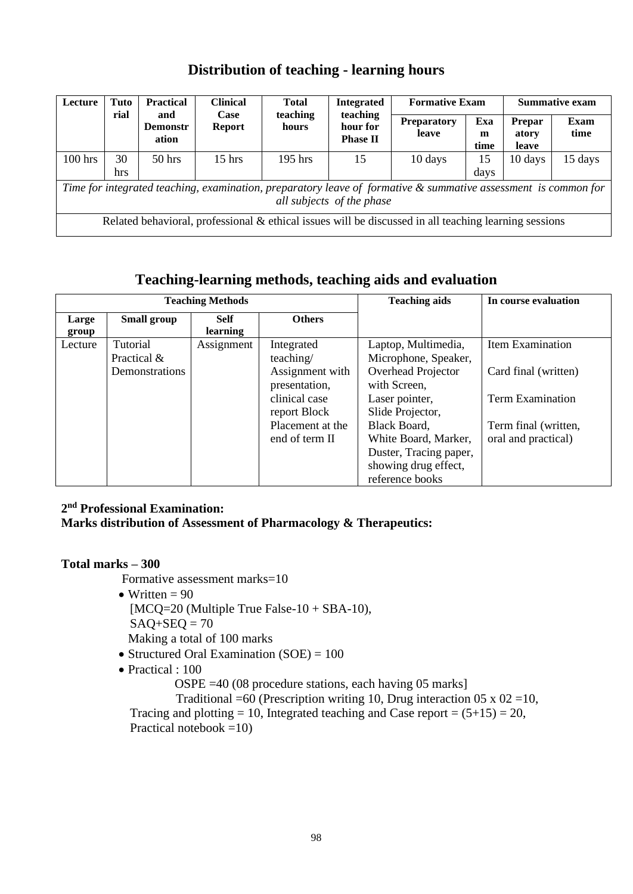### **Distribution of teaching - learning hours**

| Lecture                                                                                                                                     | Tuto | <b>Practical</b>                | <b>Clinical</b>       | <b>Total</b>      | <b>Integrated</b>                       | <b>Formative Exam</b>                                                                                 | <b>Summative exam</b> |                          |              |
|---------------------------------------------------------------------------------------------------------------------------------------------|------|---------------------------------|-----------------------|-------------------|-----------------------------------------|-------------------------------------------------------------------------------------------------------|-----------------------|--------------------------|--------------|
|                                                                                                                                             | rial | and<br><b>Demonstr</b><br>ation | Case<br><b>Report</b> | teaching<br>hours | teaching<br>hour for<br><b>Phase II</b> | <b>Preparatory</b><br>leave                                                                           | Exa<br>m<br>time      | Prepar<br>atory<br>leave | Exam<br>time |
| $100$ hrs                                                                                                                                   | 30   | $50$ hrs                        | $15$ hrs              | $195$ hrs         | 15                                      | 10 days                                                                                               | 15                    | 10 days                  | 15 days      |
|                                                                                                                                             | hrs  |                                 |                       |                   |                                         |                                                                                                       | days                  |                          |              |
| Time for integrated teaching, examination, preparatory leave of formative & summative assessment is common for<br>all subjects of the phase |      |                                 |                       |                   |                                         |                                                                                                       |                       |                          |              |
|                                                                                                                                             |      |                                 |                       |                   |                                         | Related behavioral, professional & ethical issues will be discussed in all teaching learning sessions |                       |                          |              |

### **Teaching-learning methods, teaching aids and evaluation**

|                |                         | <b>Teaching Methods</b> |                                    | r caeming rearming memodis reaching and and evaluation<br><b>Teaching aids</b> | In course evaluation                        |
|----------------|-------------------------|-------------------------|------------------------------------|--------------------------------------------------------------------------------|---------------------------------------------|
| Large<br>group | Small group             | <b>Self</b><br>learning | <b>Others</b>                      |                                                                                |                                             |
| Lecture        | Tutorial<br>Practical & | Assignment              | Integrated<br>teaching/            | Laptop, Multimedia,<br>Microphone, Speaker,                                    | Item Examination                            |
|                | Demonstrations          |                         | Assignment with<br>presentation,   | Overhead Projector<br>with Screen,                                             | Card final (written)                        |
|                |                         |                         | clinical case<br>report Block      | Laser pointer,<br>Slide Projector,                                             | <b>Term Examination</b>                     |
|                |                         |                         | Placement at the<br>end of term II | Black Board,<br>White Board, Marker,                                           | Term final (written,<br>oral and practical) |
|                |                         |                         |                                    | Duster, Tracing paper,<br>showing drug effect,<br>reference books              |                                             |

#### **2 nd Professional Examination:**

#### **Marks distribution of Assessment of Pharmacology & Therapeutics:**

#### **Total marks – 300**

Formative assessment marks=10

- Written  $= 90$ 
	- $[MCQ=20]$  (Multiple True False-10 + SBA-10),
	- $SAO+SEO = 70$

Making a total of 100 marks

- Structured Oral Examination (SOE) = 100
- Practical : 100

OSPE =40 (08 procedure stations, each having 05 marks]

Traditional =60 (Prescription writing 10, Drug interaction  $05 \times 02 = 10$ , Tracing and plotting = 10, Integrated teaching and Case report =  $(5+15) = 20$ , Practical notebook  $=10$ )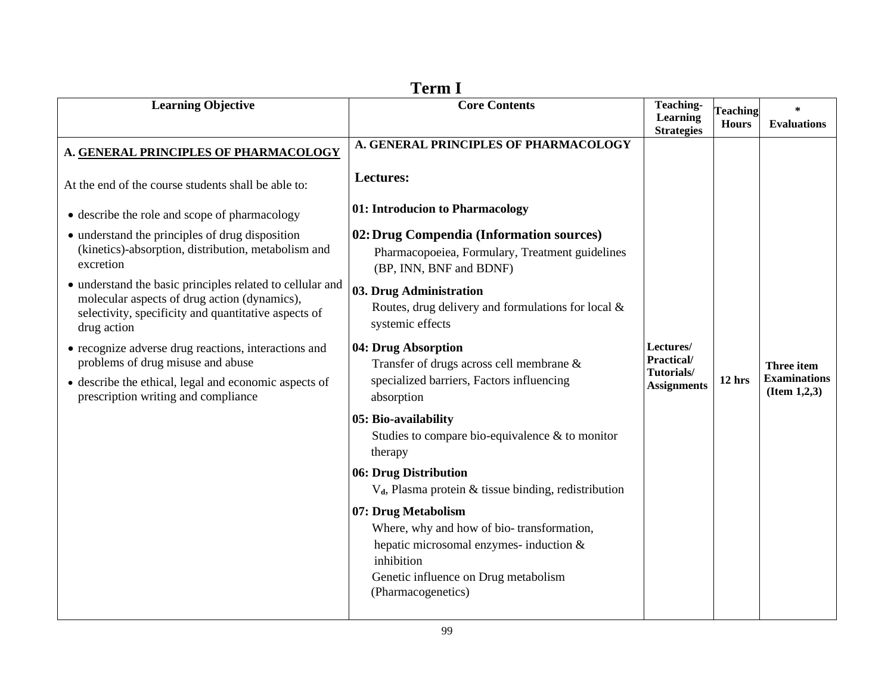| <b>Learning Objective</b>                                                                                                                                                                 | 1 ci ili 1<br><b>Core Contents</b>                                                                                                                                                      | <b>Teaching-</b><br>Learning                                | <b>Teaching</b> | $\ast$                                                      |
|-------------------------------------------------------------------------------------------------------------------------------------------------------------------------------------------|-----------------------------------------------------------------------------------------------------------------------------------------------------------------------------------------|-------------------------------------------------------------|-----------------|-------------------------------------------------------------|
|                                                                                                                                                                                           |                                                                                                                                                                                         | <b>Strategies</b>                                           | <b>Hours</b>    | <b>Evaluations</b>                                          |
| A. GENERAL PRINCIPLES OF PHARMACOLOGY                                                                                                                                                     | A. GENERAL PRINCIPLES OF PHARMACOLOGY                                                                                                                                                   |                                                             |                 |                                                             |
| At the end of the course students shall be able to:                                                                                                                                       | Lectures:                                                                                                                                                                               |                                                             |                 |                                                             |
| • describe the role and scope of pharmacology                                                                                                                                             | 01: Introducion to Pharmacology                                                                                                                                                         |                                                             |                 |                                                             |
| • understand the principles of drug disposition<br>(kinetics)-absorption, distribution, metabolism and<br>excretion                                                                       | 02: Drug Compendia (Information sources)<br>Pharmacopoeiea, Formulary, Treatment guidelines<br>(BP, INN, BNF and BDNF)                                                                  |                                                             |                 |                                                             |
| • understand the basic principles related to cellular and<br>molecular aspects of drug action (dynamics),<br>selectivity, specificity and quantitative aspects of<br>drug action          | 03. Drug Administration<br>Routes, drug delivery and formulations for local &<br>systemic effects                                                                                       |                                                             |                 |                                                             |
| • recognize adverse drug reactions, interactions and<br>problems of drug misuse and abuse<br>• describe the ethical, legal and economic aspects of<br>prescription writing and compliance | 04: Drug Absorption<br>Transfer of drugs across cell membrane &<br>specialized barriers, Factors influencing<br>absorption                                                              | Lectures/<br>Practical/<br>Tutorials/<br><b>Assignments</b> | $12$ hrs        | <b>Three item</b><br><b>Examinations</b><br>(Item $1,2,3$ ) |
|                                                                                                                                                                                           | 05: Bio-availability<br>Studies to compare bio-equivalence $\&$ to monitor<br>therapy                                                                                                   |                                                             |                 |                                                             |
|                                                                                                                                                                                           | 06: Drug Distribution<br>$V_d$ , Plasma protein & tissue binding, redistribution                                                                                                        |                                                             |                 |                                                             |
|                                                                                                                                                                                           | 07: Drug Metabolism<br>Where, why and how of bio-transformation,<br>hepatic microsomal enzymes- induction &<br>inhibition<br>Genetic influence on Drug metabolism<br>(Pharmacogenetics) |                                                             |                 |                                                             |

| ı<br>П |  |
|--------|--|
|--------|--|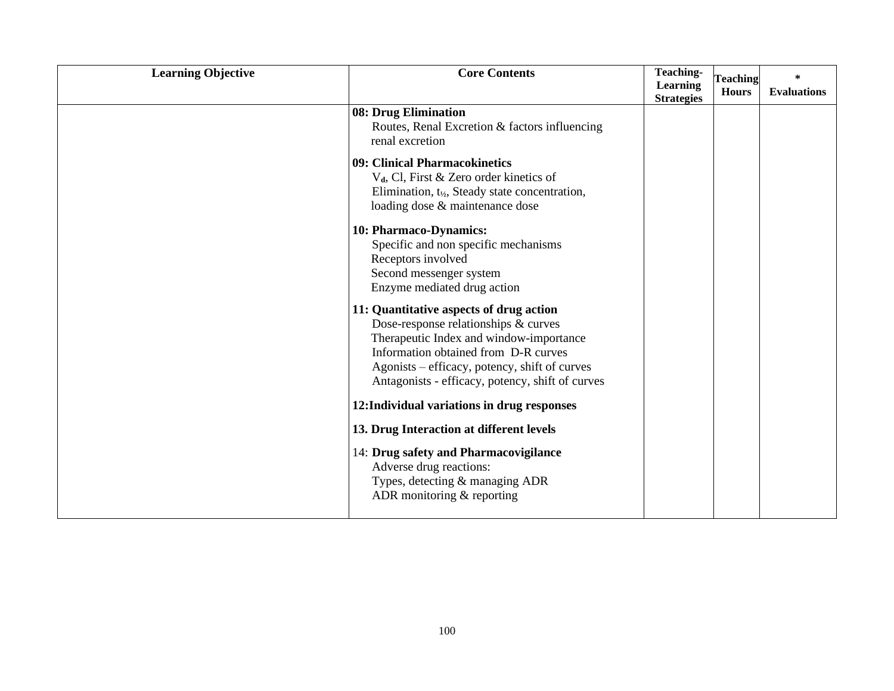| <b>Learning Objective</b> | <b>Core Contents</b>                                                                                                                                                                                                                                                    | <b>Teaching-</b><br>Learning<br><b>Strategies</b> | <b>Teaching</b><br><b>Hours</b> | $\ast$<br><b>Evaluations</b> |
|---------------------------|-------------------------------------------------------------------------------------------------------------------------------------------------------------------------------------------------------------------------------------------------------------------------|---------------------------------------------------|---------------------------------|------------------------------|
|                           | 08: Drug Elimination<br>Routes, Renal Excretion & factors influencing<br>renal excretion                                                                                                                                                                                |                                                   |                                 |                              |
|                           | 09: Clinical Pharmacokinetics<br>V <sub>d</sub> , Cl, First & Zero order kinetics of<br>Elimination, $t_{1/2}$ , Steady state concentration,<br>loading dose & maintenance dose                                                                                         |                                                   |                                 |                              |
|                           | 10: Pharmaco-Dynamics:<br>Specific and non specific mechanisms<br>Receptors involved<br>Second messenger system<br>Enzyme mediated drug action                                                                                                                          |                                                   |                                 |                              |
|                           | 11: Quantitative aspects of drug action<br>Dose-response relationships & curves<br>Therapeutic Index and window-importance<br>Information obtained from D-R curves<br>Agonists – efficacy, potency, shift of curves<br>Antagonists - efficacy, potency, shift of curves |                                                   |                                 |                              |
|                           | 12: Individual variations in drug responses                                                                                                                                                                                                                             |                                                   |                                 |                              |
|                           | 13. Drug Interaction at different levels                                                                                                                                                                                                                                |                                                   |                                 |                              |
|                           | 14: Drug safety and Pharmacovigilance<br>Adverse drug reactions:<br>Types, detecting & managing ADR<br>ADR monitoring $&$ reporting                                                                                                                                     |                                                   |                                 |                              |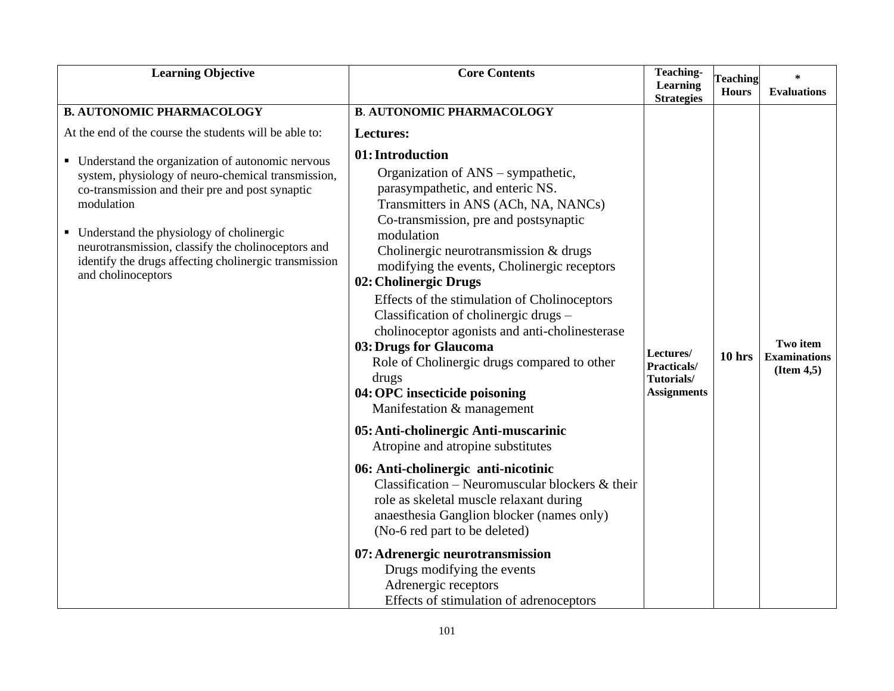| <b>Learning Objective</b>                                                                                                                                                                                                                                                                                                                                                                                                                                  | <b>Core Contents</b>                                                                                                                                                                                                                                                                                                                                                                                                                                                                                                                                                                                                                                                                                                                                                                                                                                                                                                                                                                                                         | <b>Teaching-</b><br>Learning<br><b>Strategies</b>            | <b>Teaching</b><br><b>Hours</b> | $\ast$<br><b>Evaluations</b>                   |
|------------------------------------------------------------------------------------------------------------------------------------------------------------------------------------------------------------------------------------------------------------------------------------------------------------------------------------------------------------------------------------------------------------------------------------------------------------|------------------------------------------------------------------------------------------------------------------------------------------------------------------------------------------------------------------------------------------------------------------------------------------------------------------------------------------------------------------------------------------------------------------------------------------------------------------------------------------------------------------------------------------------------------------------------------------------------------------------------------------------------------------------------------------------------------------------------------------------------------------------------------------------------------------------------------------------------------------------------------------------------------------------------------------------------------------------------------------------------------------------------|--------------------------------------------------------------|---------------------------------|------------------------------------------------|
| <b>B. AUTONOMIC PHARMACOLOGY</b><br>At the end of the course the students will be able to:<br>• Understand the organization of autonomic nervous<br>system, physiology of neuro-chemical transmission,<br>co-transmission and their pre and post synaptic<br>modulation<br>• Understand the physiology of cholinergic<br>neurotransmission, classify the cholinoceptors and<br>identify the drugs affecting cholinergic transmission<br>and cholinoceptors | <b>B. AUTONOMIC PHARMACOLOGY</b><br>Lectures:<br>01: Introduction<br>Organization of ANS – sympathetic,<br>parasympathetic, and enteric NS.<br>Transmitters in ANS (ACh, NA, NANCs)<br>Co-transmission, pre and postsynaptic<br>modulation<br>Cholinergic neurotransmission & drugs<br>modifying the events, Cholinergic receptors<br>02: Cholinergic Drugs<br>Effects of the stimulation of Cholinoceptors<br>Classification of cholinergic drugs -<br>cholinoceptor agonists and anti-cholinesterase<br>03: Drugs for Glaucoma<br>Role of Cholinergic drugs compared to other<br>drugs<br>04: OPC insecticide poisoning<br>Manifestation & management<br>05: Anti-cholinergic Anti-muscarinic<br>Atropine and atropine substitutes<br>06: Anti-cholinergic anti-nicotinic<br>Classification – Neuromuscular blockers $\&$ their<br>role as skeletal muscle relaxant during<br>anaesthesia Ganglion blocker (names only)<br>(No-6 red part to be deleted)<br>07: Adrenergic neurotransmission<br>Drugs modifying the events | Lectures/<br>Practicals/<br>Tutorials/<br><b>Assignments</b> | 10 hrs                          | Two item<br><b>Examinations</b><br>(Item 4, 5) |
|                                                                                                                                                                                                                                                                                                                                                                                                                                                            | Adrenergic receptors<br>Effects of stimulation of adrenoceptors                                                                                                                                                                                                                                                                                                                                                                                                                                                                                                                                                                                                                                                                                                                                                                                                                                                                                                                                                              |                                                              |                                 |                                                |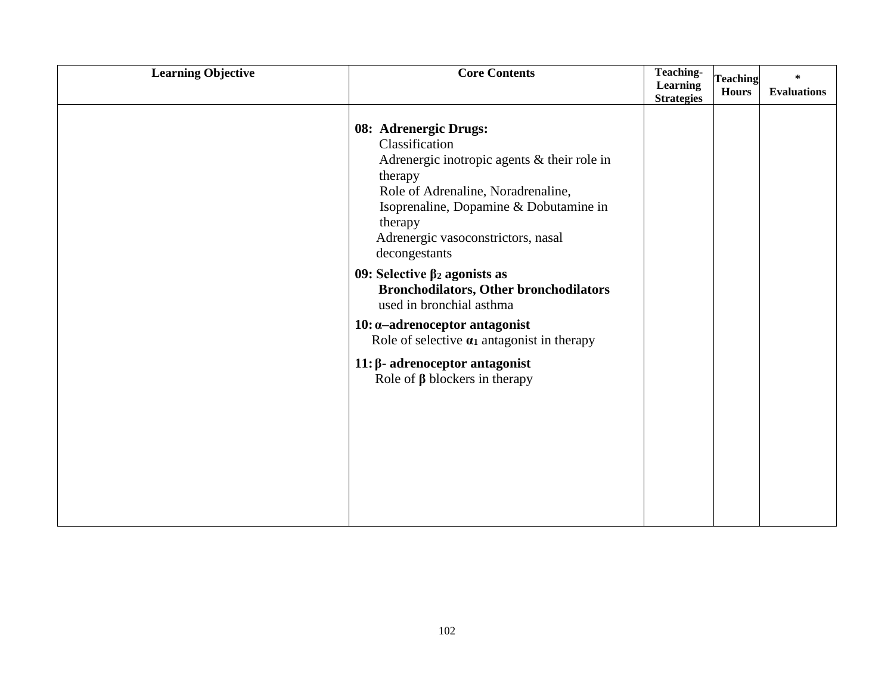| <b>Learning Objective</b> | <b>Core Contents</b>                                                                                                                                                                                                                                                                                                                                                                                                                                                                                                                                   | <b>Teaching-</b><br>Learning<br><b>Strategies</b> | <b>Teaching</b><br><b>Hours</b> | $\ast$<br><b>Evaluations</b> |
|---------------------------|--------------------------------------------------------------------------------------------------------------------------------------------------------------------------------------------------------------------------------------------------------------------------------------------------------------------------------------------------------------------------------------------------------------------------------------------------------------------------------------------------------------------------------------------------------|---------------------------------------------------|---------------------------------|------------------------------|
|                           | 08: Adrenergic Drugs:<br>Classification<br>Adrenergic inotropic agents & their role in<br>therapy<br>Role of Adrenaline, Noradrenaline,<br>Isoprenaline, Dopamine & Dobutamine in<br>therapy<br>Adrenergic vasoconstrictors, nasal<br>decongestants<br>09: Selective $\beta_2$ agonists as<br><b>Bronchodilators, Other bronchodilators</b><br>used in bronchial asthma<br>$10: \alpha$ -adrenoceptor antagonist<br>Role of selective $\alpha_1$ antagonist in therapy<br>$11: \beta$ - adrenoceptor antagonist<br>Role of $\beta$ blockers in therapy |                                                   |                                 |                              |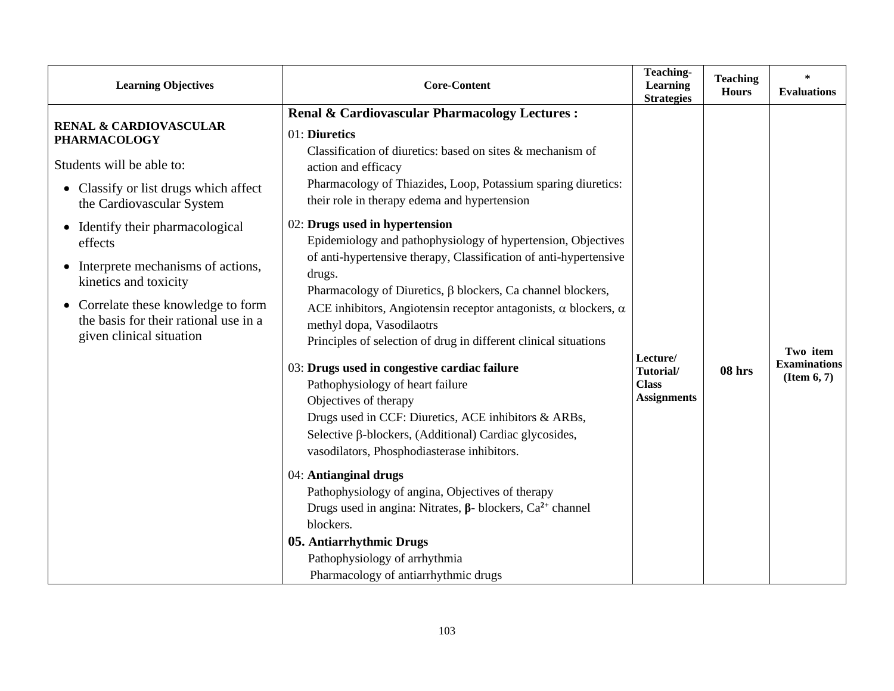| <b>Learning Objectives</b>                                                                                                                                                                                                                                                                                                                                                     | <b>Core-Content</b>                                                                                                                                                                                                                                                                                                                                                                                                                                                                                                                                                                                                                                                                                                                                                                                                                                                                                                                                                                                                                                                                                                                                                                                                                                                     | Teaching-<br>Learning<br><b>Strategies</b>                  | <b>Teaching</b><br><b>Hours</b> | $\ast$<br><b>Evaluations</b>                   |
|--------------------------------------------------------------------------------------------------------------------------------------------------------------------------------------------------------------------------------------------------------------------------------------------------------------------------------------------------------------------------------|-------------------------------------------------------------------------------------------------------------------------------------------------------------------------------------------------------------------------------------------------------------------------------------------------------------------------------------------------------------------------------------------------------------------------------------------------------------------------------------------------------------------------------------------------------------------------------------------------------------------------------------------------------------------------------------------------------------------------------------------------------------------------------------------------------------------------------------------------------------------------------------------------------------------------------------------------------------------------------------------------------------------------------------------------------------------------------------------------------------------------------------------------------------------------------------------------------------------------------------------------------------------------|-------------------------------------------------------------|---------------------------------|------------------------------------------------|
| <b>RENAL &amp; CARDIOVASCULAR</b><br><b>PHARMACOLOGY</b><br>Students will be able to:<br>Classify or list drugs which affect<br>the Cardiovascular System<br>Identify their pharmacological<br>effects<br>Interprete mechanisms of actions,<br>kinetics and toxicity<br>Correlate these knowledge to form<br>the basis for their rational use in a<br>given clinical situation | Renal & Cardiovascular Pharmacology Lectures :<br>01: Diuretics<br>Classification of diuretics: based on sites $\&$ mechanism of<br>action and efficacy<br>Pharmacology of Thiazides, Loop, Potassium sparing diuretics:<br>their role in therapy edema and hypertension<br>02: Drugs used in hypertension<br>Epidemiology and pathophysiology of hypertension, Objectives<br>of anti-hypertensive therapy, Classification of anti-hypertensive<br>drugs.<br>Pharmacology of Diuretics, β blockers, Ca channel blockers,<br>ACE inhibitors, Angiotensin receptor antagonists, $\alpha$ blockers, $\alpha$<br>methyl dopa, Vasodilaotrs<br>Principles of selection of drug in different clinical situations<br>03: Drugs used in congestive cardiac failure<br>Pathophysiology of heart failure<br>Objectives of therapy<br>Drugs used in CCF: Diuretics, ACE inhibitors & ARBs,<br>Selective β-blockers, (Additional) Cardiac glycosides,<br>vasodilators, Phosphodiasterase inhibitors.<br>04: Antianginal drugs<br>Pathophysiology of angina, Objectives of therapy<br>Drugs used in angina: Nitrates, $\beta$ - blockers, Ca <sup>2+</sup> channel<br>blockers.<br>05. Antiarrhythmic Drugs<br>Pathophysiology of arrhythmia<br>Pharmacology of antiarrhythmic drugs | Lecture/<br>Tutorial/<br><b>Class</b><br><b>Assignments</b> | 08 hrs                          | Two item<br><b>Examinations</b><br>(Item 6, 7) |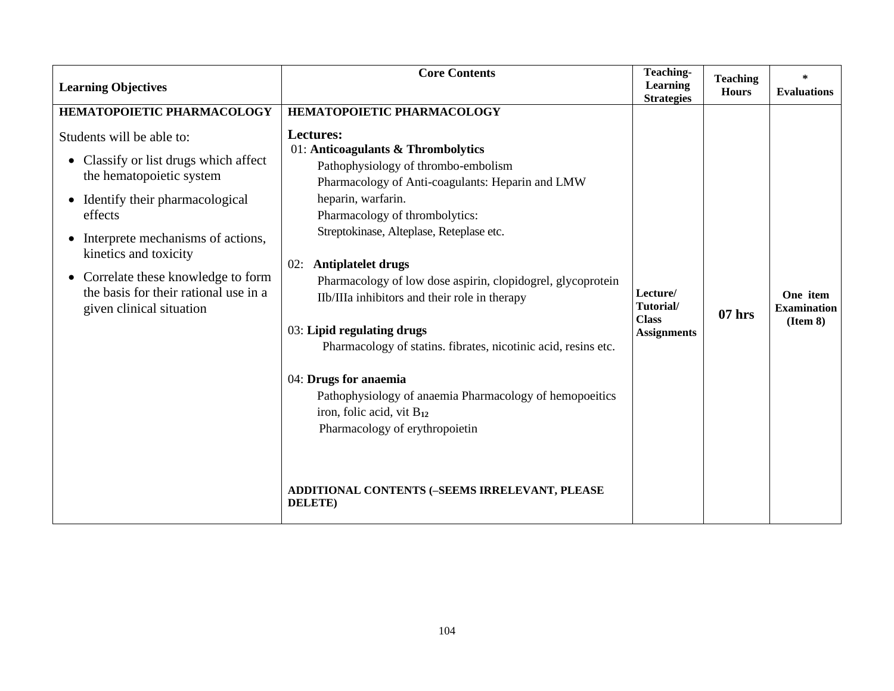| <b>Learning Objectives</b>                                                                                                                                                                                                                                                                                                                      | <b>Core Contents</b>                                                                                                                                                                                                                                                                                                                                                                                                                                                                                                                                                                                                                                                                                                                              | Teaching-<br>Learning<br><b>Strategies</b>                  | <b>Teaching</b><br><b>Hours</b> | $\ast$<br><b>Evaluations</b>               |
|-------------------------------------------------------------------------------------------------------------------------------------------------------------------------------------------------------------------------------------------------------------------------------------------------------------------------------------------------|---------------------------------------------------------------------------------------------------------------------------------------------------------------------------------------------------------------------------------------------------------------------------------------------------------------------------------------------------------------------------------------------------------------------------------------------------------------------------------------------------------------------------------------------------------------------------------------------------------------------------------------------------------------------------------------------------------------------------------------------------|-------------------------------------------------------------|---------------------------------|--------------------------------------------|
| HEMATOPOIETIC PHARMACOLOGY<br>Students will be able to:<br>Classify or list drugs which affect<br>the hematopoietic system<br>Identify their pharmacological<br>effects<br>Interprete mechanisms of actions,<br>kinetics and toxicity<br>Correlate these knowledge to form<br>the basis for their rational use in a<br>given clinical situation | HEMATOPOIETIC PHARMACOLOGY<br>Lectures:<br>01: Anticoagulants & Thrombolytics<br>Pathophysiology of thrombo-embolism<br>Pharmacology of Anti-coagulants: Heparin and LMW<br>heparin, warfarin.<br>Pharmacology of thrombolytics:<br>Streptokinase, Alteplase, Reteplase etc.<br>Antiplatelet drugs<br>02:<br>Pharmacology of low dose aspirin, clopidogrel, glycoprotein<br>IIb/IIIa inhibitors and their role in therapy<br>03: Lipid regulating drugs<br>Pharmacology of statins. fibrates, nicotinic acid, resins etc.<br>04: Drugs for anaemia<br>Pathophysiology of anaemia Pharmacology of hemopoeitics<br>iron, folic acid, vit B12<br>Pharmacology of erythropoietin<br>ADDITIONAL CONTENTS (-SEEMS IRRELEVANT, PLEASE<br><b>DELETE</b> ) | Lecture/<br>Tutorial/<br><b>Class</b><br><b>Assignments</b> | $07$ hrs                        | One item<br><b>Examination</b><br>(Item 8) |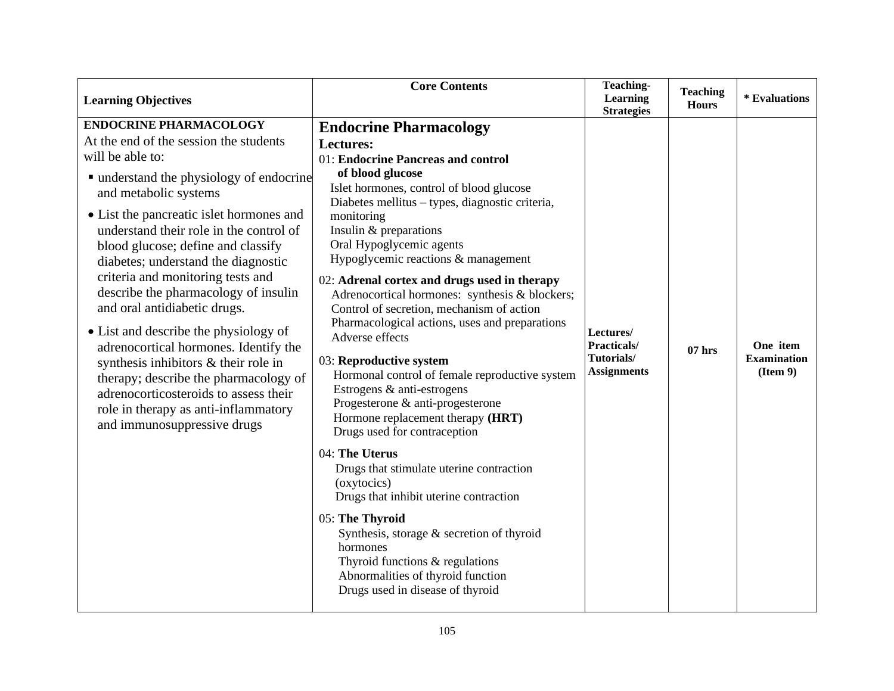| <b>Learning Objectives</b>                                                                                                                                                                                                                                                                                                                                                                                                                                                                                                                                                                                                                                                                                                           | <b>Core Contents</b>                                                                                                                                                                                                                                                                                                                                                                                                                                                                                                                                                                                                                                                                                                                                                                                                                                                                                                                                                                                                                                                            | <b>Teaching-</b><br>Learning<br><b>Strategies</b>            | <b>Teaching</b><br><b>Hours</b> | * Evaluations                              |
|--------------------------------------------------------------------------------------------------------------------------------------------------------------------------------------------------------------------------------------------------------------------------------------------------------------------------------------------------------------------------------------------------------------------------------------------------------------------------------------------------------------------------------------------------------------------------------------------------------------------------------------------------------------------------------------------------------------------------------------|---------------------------------------------------------------------------------------------------------------------------------------------------------------------------------------------------------------------------------------------------------------------------------------------------------------------------------------------------------------------------------------------------------------------------------------------------------------------------------------------------------------------------------------------------------------------------------------------------------------------------------------------------------------------------------------------------------------------------------------------------------------------------------------------------------------------------------------------------------------------------------------------------------------------------------------------------------------------------------------------------------------------------------------------------------------------------------|--------------------------------------------------------------|---------------------------------|--------------------------------------------|
| <b>ENDOCRINE PHARMACOLOGY</b><br>At the end of the session the students<br>will be able to:<br>■ understand the physiology of endocrine<br>and metabolic systems<br>• List the pancreatic islet hormones and<br>understand their role in the control of<br>blood glucose; define and classify<br>diabetes; understand the diagnostic<br>criteria and monitoring tests and<br>describe the pharmacology of insulin<br>and oral antidiabetic drugs.<br>• List and describe the physiology of<br>adrenocortical hormones. Identify the<br>synthesis inhibitors & their role in<br>therapy; describe the pharmacology of<br>adrenocorticosteroids to assess their<br>role in therapy as anti-inflammatory<br>and immunosuppressive drugs | <b>Endocrine Pharmacology</b><br><b>Lectures:</b><br>01: Endocrine Pancreas and control<br>of blood glucose<br>Islet hormones, control of blood glucose<br>Diabetes mellitus - types, diagnostic criteria,<br>monitoring<br>Insulin & preparations<br>Oral Hypoglycemic agents<br>Hypoglycemic reactions & management<br>02: Adrenal cortex and drugs used in therapy<br>Adrenocortical hormones: synthesis & blockers;<br>Control of secretion, mechanism of action<br>Pharmacological actions, uses and preparations<br>Adverse effects<br>03: Reproductive system<br>Hormonal control of female reproductive system<br>Estrogens & anti-estrogens<br>Progesterone & anti-progesterone<br>Hormone replacement therapy (HRT)<br>Drugs used for contraception<br>04: The Uterus<br>Drugs that stimulate uterine contraction<br>(oxytocics)<br>Drugs that inhibit uterine contraction<br>05: The Thyroid<br>Synthesis, storage $\&$ secretion of thyroid<br>hormones<br>Thyroid functions & regulations<br>Abnormalities of thyroid function<br>Drugs used in disease of thyroid | Lectures/<br>Practicals/<br>Tutorials/<br><b>Assignments</b> | $07$ hrs                        | One item<br><b>Examination</b><br>(Item 9) |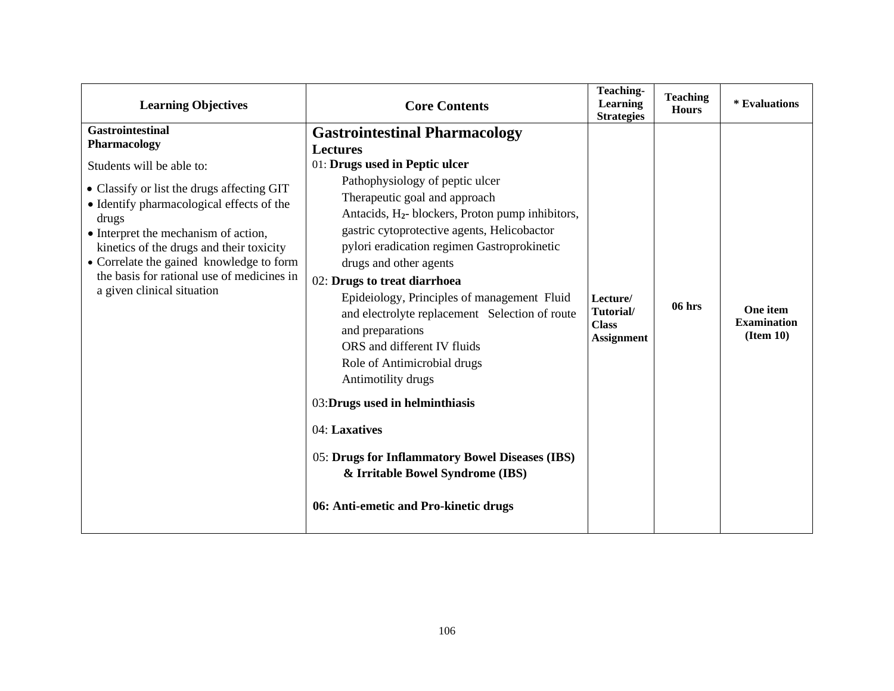| <b>Learning Objectives</b>                                                                                                                                                                                                                                                                                                                                                           | <b>Core Contents</b>                                                                                                                                                                                                                                                                                                                                                                                                                                                                                                                                                                                                                                                                                                                                                               | <b>Teaching-</b><br><b>Learning</b><br><b>Strategies</b>   | <b>Teaching</b><br><b>Hours</b> | * Evaluations                               |
|--------------------------------------------------------------------------------------------------------------------------------------------------------------------------------------------------------------------------------------------------------------------------------------------------------------------------------------------------------------------------------------|------------------------------------------------------------------------------------------------------------------------------------------------------------------------------------------------------------------------------------------------------------------------------------------------------------------------------------------------------------------------------------------------------------------------------------------------------------------------------------------------------------------------------------------------------------------------------------------------------------------------------------------------------------------------------------------------------------------------------------------------------------------------------------|------------------------------------------------------------|---------------------------------|---------------------------------------------|
| <b>Gastrointestinal</b><br>Pharmacology<br>Students will be able to:<br>• Classify or list the drugs affecting GIT<br>• Identify pharmacological effects of the<br>drugs<br>• Interpret the mechanism of action,<br>kinetics of the drugs and their toxicity<br>• Correlate the gained knowledge to form<br>the basis for rational use of medicines in<br>a given clinical situation | <b>Gastrointestinal Pharmacology</b><br><b>Lectures</b><br>01: Drugs used in Peptic ulcer<br>Pathophysiology of peptic ulcer<br>Therapeutic goal and approach<br>Antacids, H <sub>2</sub> - blockers, Proton pump inhibitors,<br>gastric cytoprotective agents, Helicobactor<br>pylori eradication regimen Gastroprokinetic<br>drugs and other agents<br>02: Drugs to treat diarrhoea<br>Epideiology, Principles of management Fluid<br>and electrolyte replacement Selection of route<br>and preparations<br>ORS and different IV fluids<br>Role of Antimicrobial drugs<br>Antimotility drugs<br>03: Drugs used in helminthiasis<br>04: Laxatives<br>05: Drugs for Inflammatory Bowel Diseases (IBS)<br>& Irritable Bowel Syndrome (IBS)<br>06: Anti-emetic and Pro-kinetic drugs | Lecture/<br>Tutorial/<br><b>Class</b><br><b>Assignment</b> | $06$ hrs                        | One item<br><b>Examination</b><br>(Item 10) |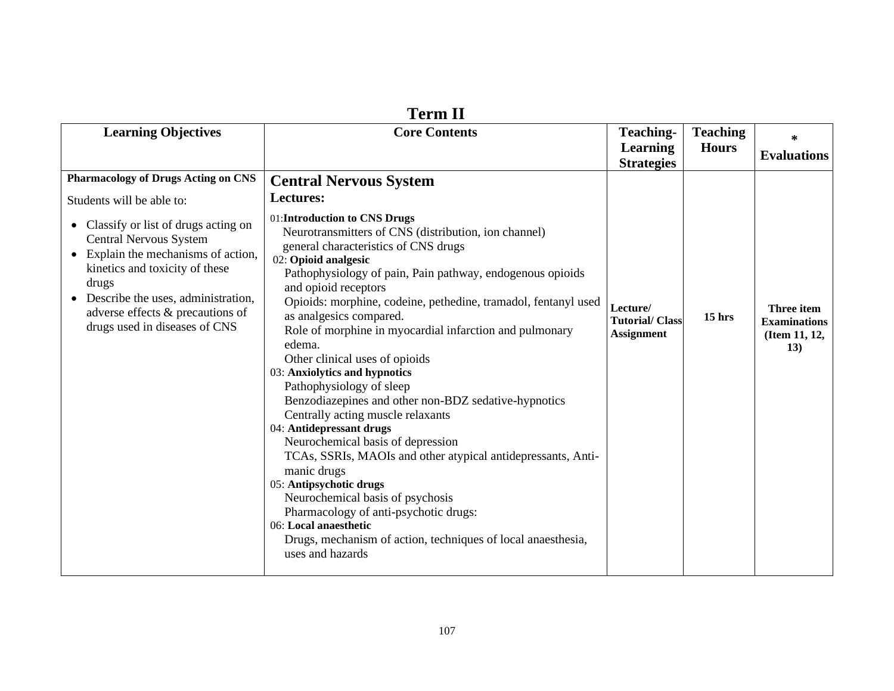| <b>Learning Objectives</b><br><b>Core Contents</b><br><b>Teaching-</b><br><b>Teaching</b><br>∗<br><b>Learning</b><br><b>Hours</b><br><b>Evaluations</b><br><b>Strategies</b><br><b>Pharmacology of Drugs Acting on CNS</b><br><b>Central Nervous System</b><br><b>Lectures:</b><br>Students will be able to:<br>01: Introduction to CNS Drugs<br>Classify or list of drugs acting on<br>$\bullet$<br>Neurotransmitters of CNS (distribution, ion channel)<br><b>Central Nervous System</b><br>general characteristics of CNS drugs<br>Explain the mechanisms of action,<br>$\bullet$<br>02: Opioid analgesic<br>kinetics and toxicity of these<br>Pathophysiology of pain, Pain pathway, endogenous opioids<br>drugs<br>and opioid receptors<br>• Describe the uses, administration,<br>Opioids: morphine, codeine, pethedine, tramadol, fentanyl used<br>Lecture/<br>Three item<br>adverse effects & precautions of<br>as analgesics compared.<br>$15$ hrs<br><b>Tutorial/Class</b><br><b>Examinations</b><br>drugs used in diseases of CNS<br>Role of morphine in myocardial infarction and pulmonary<br><b>Assignment</b><br>(Item 11, 12,<br>edema.<br>13)<br>Other clinical uses of opioids<br>03: Anxiolytics and hypnotics<br>Pathophysiology of sleep<br>Benzodiazepines and other non-BDZ sedative-hypnotics<br>Centrally acting muscle relaxants<br>04: Antidepressant drugs<br>Neurochemical basis of depression<br>TCAs, SSRIs, MAOIs and other atypical antidepressants, Anti-<br>manic drugs<br>05: Antipsychotic drugs<br>Neurochemical basis of psychosis<br>Pharmacology of anti-psychotic drugs:<br>06: Local anaesthetic<br>Drugs, mechanism of action, techniques of local anaesthesia,<br>uses and hazards | тегт п |  |  |
|---------------------------------------------------------------------------------------------------------------------------------------------------------------------------------------------------------------------------------------------------------------------------------------------------------------------------------------------------------------------------------------------------------------------------------------------------------------------------------------------------------------------------------------------------------------------------------------------------------------------------------------------------------------------------------------------------------------------------------------------------------------------------------------------------------------------------------------------------------------------------------------------------------------------------------------------------------------------------------------------------------------------------------------------------------------------------------------------------------------------------------------------------------------------------------------------------------------------------------------------------------------------------------------------------------------------------------------------------------------------------------------------------------------------------------------------------------------------------------------------------------------------------------------------------------------------------------------------------------------------------------------------------------------------------------------------------------------------------------|--------|--|--|
|                                                                                                                                                                                                                                                                                                                                                                                                                                                                                                                                                                                                                                                                                                                                                                                                                                                                                                                                                                                                                                                                                                                                                                                                                                                                                                                                                                                                                                                                                                                                                                                                                                                                                                                                 |        |  |  |
|                                                                                                                                                                                                                                                                                                                                                                                                                                                                                                                                                                                                                                                                                                                                                                                                                                                                                                                                                                                                                                                                                                                                                                                                                                                                                                                                                                                                                                                                                                                                                                                                                                                                                                                                 |        |  |  |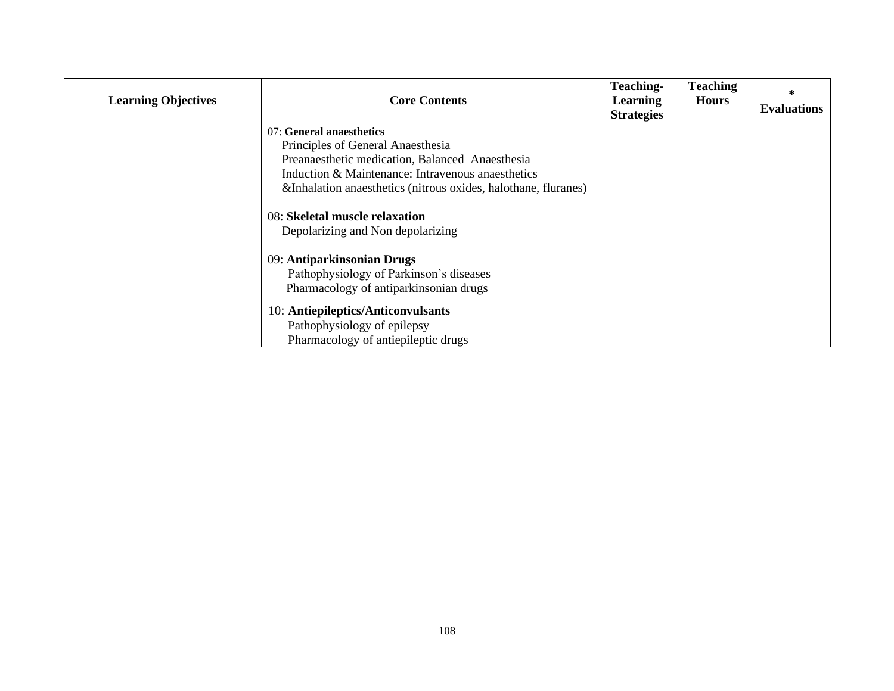| <b>Learning Objectives</b> | <b>Core Contents</b>                                                | <b>Teaching-</b><br><b>Learning</b><br><b>Strategies</b> | <b>Teaching</b><br><b>Hours</b> | ∗<br><b>Evaluations</b> |
|----------------------------|---------------------------------------------------------------------|----------------------------------------------------------|---------------------------------|-------------------------|
|                            | 07: General anaesthetics                                            |                                                          |                                 |                         |
|                            | Principles of General Anaesthesia                                   |                                                          |                                 |                         |
|                            | Preanaesthetic medication, Balanced Anaesthesia                     |                                                          |                                 |                         |
|                            | Induction & Maintenance: Intravenous anaesthetics                   |                                                          |                                 |                         |
|                            | &Inhalation anaesthetics (nitrous oxides, halothane, fluranes)      |                                                          |                                 |                         |
|                            | 08: Skeletal muscle relaxation<br>Depolarizing and Non depolarizing |                                                          |                                 |                         |
|                            | 09: Antiparkinsonian Drugs                                          |                                                          |                                 |                         |
|                            | Pathophysiology of Parkinson's diseases                             |                                                          |                                 |                         |
|                            | Pharmacology of antiparkinsonian drugs                              |                                                          |                                 |                         |
|                            | 10: Antiepileptics/Anticonvulsants                                  |                                                          |                                 |                         |
|                            | Pathophysiology of epilepsy                                         |                                                          |                                 |                         |
|                            | Pharmacology of antiepileptic drugs                                 |                                                          |                                 |                         |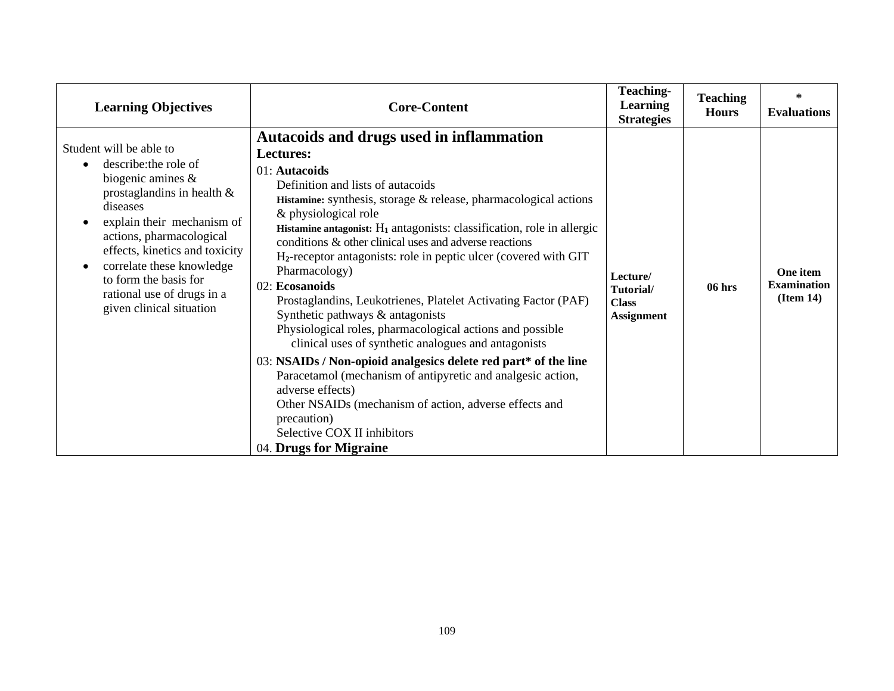| <b>Learning Objectives</b>                                                                                                                                                                                                                                                                                                                                  | <b>Core-Content</b>                                                                                                                                                                                                                                                                                                                                                                                                                                                                                                                                                                                                                                                                                                                                                                                                                                                                                                                                                                          | <b>Teaching-</b><br><b>Learning</b><br><b>Strategies</b>   | <b>Teaching</b><br><b>Hours</b> | $\ast$<br><b>Evaluations</b>                |
|-------------------------------------------------------------------------------------------------------------------------------------------------------------------------------------------------------------------------------------------------------------------------------------------------------------------------------------------------------------|----------------------------------------------------------------------------------------------------------------------------------------------------------------------------------------------------------------------------------------------------------------------------------------------------------------------------------------------------------------------------------------------------------------------------------------------------------------------------------------------------------------------------------------------------------------------------------------------------------------------------------------------------------------------------------------------------------------------------------------------------------------------------------------------------------------------------------------------------------------------------------------------------------------------------------------------------------------------------------------------|------------------------------------------------------------|---------------------------------|---------------------------------------------|
| Student will be able to<br>describe: the role of<br>$\bullet$<br>biogenic amines $\&$<br>prostaglandins in health $\&$<br>diseases<br>explain their mechanism of<br>actions, pharmacological<br>effects, kinetics and toxicity<br>correlate these knowledge<br>$\bullet$<br>to form the basis for<br>rational use of drugs in a<br>given clinical situation | Autacoids and drugs used in inflammation<br><b>Lectures:</b><br>01: Autacoids<br>Definition and lists of autacoids<br>Histamine: synthesis, storage & release, pharmacological actions<br>& physiological role<br>Histamine antagonist: $H_1$ antagonists: classification, role in allergic<br>conditions & other clinical uses and adverse reactions<br>H <sub>2</sub> -receptor antagonists: role in peptic ulcer (covered with GIT)<br>Pharmacology)<br>02: Ecosanoids<br>Prostaglandins, Leukotrienes, Platelet Activating Factor (PAF)<br>Synthetic pathways & antagonists<br>Physiological roles, pharmacological actions and possible<br>clinical uses of synthetic analogues and antagonists<br>03: NSAIDs / Non-opioid analgesics delete red part* of the line<br>Paracetamol (mechanism of antipyretic and analgesic action,<br>adverse effects)<br>Other NSAIDs (mechanism of action, adverse effects and<br>precaution)<br>Selective COX II inhibitors<br>04. Drugs for Migraine | Lecture/<br>Tutorial/<br><b>Class</b><br><b>Assignment</b> | 06 hrs                          | One item<br><b>Examination</b><br>(Item 14) |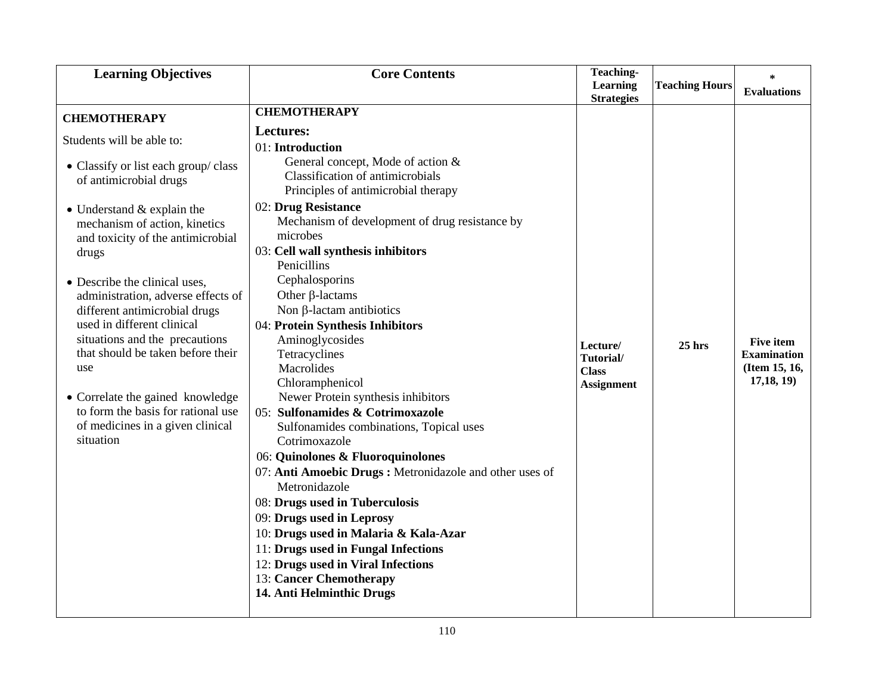| <b>Learning Objectives</b>                                          | <b>Core Contents</b>                                                    | Teaching-                         |                       | $\ast$                                 |
|---------------------------------------------------------------------|-------------------------------------------------------------------------|-----------------------------------|-----------------------|----------------------------------------|
|                                                                     |                                                                         | Learning<br><b>Strategies</b>     | <b>Teaching Hours</b> | <b>Evaluations</b>                     |
| <b>CHEMOTHERAPY</b>                                                 | <b>CHEMOTHERAPY</b>                                                     |                                   |                       |                                        |
| Students will be able to:                                           | Lectures:                                                               |                                   |                       |                                        |
|                                                                     | 01: Introduction                                                        |                                   |                       |                                        |
| • Classify or list each group/class                                 | General concept, Mode of action &                                       |                                   |                       |                                        |
| of antimicrobial drugs                                              | Classification of antimicrobials<br>Principles of antimicrobial therapy |                                   |                       |                                        |
| $\bullet$ Understand & explain the                                  | 02: Drug Resistance                                                     |                                   |                       |                                        |
| mechanism of action, kinetics                                       | Mechanism of development of drug resistance by                          |                                   |                       |                                        |
| and toxicity of the antimicrobial                                   | microbes                                                                |                                   |                       |                                        |
| drugs                                                               | 03: Cell wall synthesis inhibitors                                      |                                   |                       |                                        |
|                                                                     | Penicillins                                                             |                                   |                       |                                        |
| • Describe the clinical uses,                                       | Cephalosporins                                                          |                                   |                       |                                        |
| administration, adverse effects of                                  | Other $\beta$ -lactams                                                  |                                   |                       |                                        |
| different antimicrobial drugs                                       | Non $\beta$ -lactam antibiotics                                         |                                   |                       |                                        |
| used in different clinical                                          | 04: Protein Synthesis Inhibitors                                        |                                   |                       |                                        |
| situations and the precautions<br>that should be taken before their | Aminoglycosides<br>Tetracyclines                                        | Lecture/                          | $25$ hrs              | <b>Five item</b><br><b>Examination</b> |
| use                                                                 | Macrolides                                                              | Tutorial/                         |                       | (Item 15, 16,                          |
|                                                                     | Chloramphenicol                                                         | <b>Class</b><br><b>Assignment</b> |                       | 17,18,19)                              |
| • Correlate the gained knowledge                                    | Newer Protein synthesis inhibitors                                      |                                   |                       |                                        |
| to form the basis for rational use                                  | 05: Sulfonamides & Cotrimoxazole                                        |                                   |                       |                                        |
| of medicines in a given clinical                                    | Sulfonamides combinations, Topical uses                                 |                                   |                       |                                        |
| situation                                                           | Cotrimoxazole                                                           |                                   |                       |                                        |
|                                                                     | 06: Quinolones & Fluoroquinolones                                       |                                   |                       |                                        |
|                                                                     | 07: Anti Amoebic Drugs: Metronidazole and other uses of                 |                                   |                       |                                        |
|                                                                     | Metronidazole                                                           |                                   |                       |                                        |
|                                                                     | 08: Drugs used in Tuberculosis                                          |                                   |                       |                                        |
|                                                                     | 09: Drugs used in Leprosy                                               |                                   |                       |                                        |
|                                                                     | 10: Drugs used in Malaria & Kala-Azar                                   |                                   |                       |                                        |
|                                                                     | 11: Drugs used in Fungal Infections                                     |                                   |                       |                                        |
|                                                                     | 12: Drugs used in Viral Infections                                      |                                   |                       |                                        |
|                                                                     | 13: Cancer Chemotherapy                                                 |                                   |                       |                                        |
|                                                                     | 14. Anti Helminthic Drugs                                               |                                   |                       |                                        |
|                                                                     |                                                                         |                                   |                       |                                        |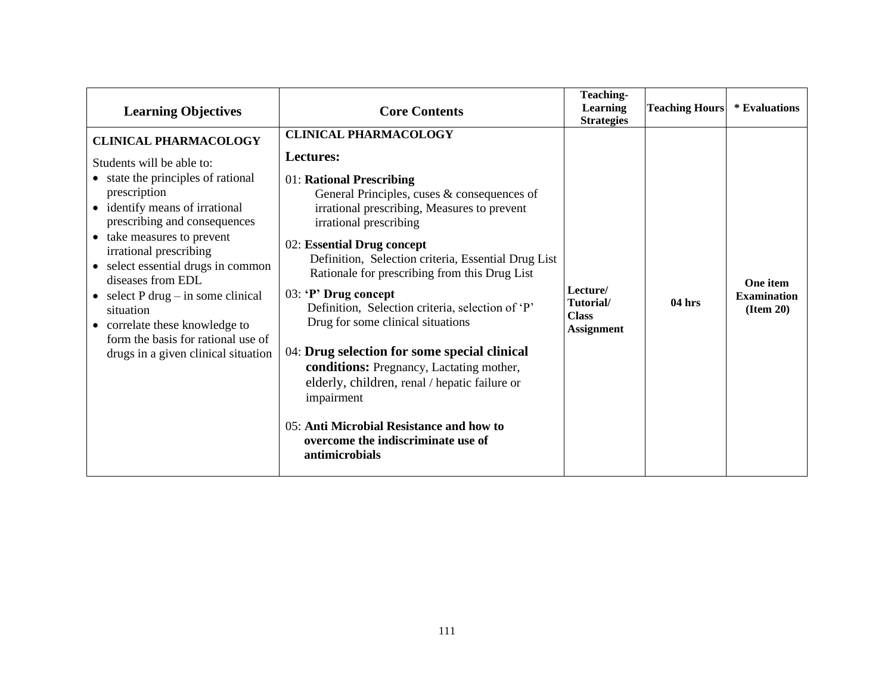| <b>Learning Objectives</b>                                                                                                                                                                                                                                                                                                                                                                                                                                               | <b>Core Contents</b>                                                                                                                                                                                                                                                                                                                                                                                                                                                                                                                                                                                                                                                                                                         | Teaching-<br>Learning<br><b>Strategies</b>                 | <b>Teaching Hours</b> | * Evaluations                               |
|--------------------------------------------------------------------------------------------------------------------------------------------------------------------------------------------------------------------------------------------------------------------------------------------------------------------------------------------------------------------------------------------------------------------------------------------------------------------------|------------------------------------------------------------------------------------------------------------------------------------------------------------------------------------------------------------------------------------------------------------------------------------------------------------------------------------------------------------------------------------------------------------------------------------------------------------------------------------------------------------------------------------------------------------------------------------------------------------------------------------------------------------------------------------------------------------------------------|------------------------------------------------------------|-----------------------|---------------------------------------------|
| <b>CLINICAL PHARMACOLOGY</b><br>Students will be able to:<br>• state the principles of rational<br>prescription<br>• identify means of irrational<br>prescribing and consequences<br>• take measures to prevent<br>irrational prescribing<br>• select essential drugs in common<br>diseases from EDL<br>• select $P$ drug – in some clinical<br>situation<br>• correlate these knowledge to<br>form the basis for rational use of<br>drugs in a given clinical situation | <b>CLINICAL PHARMACOLOGY</b><br><b>Lectures:</b><br>01: Rational Prescribing<br>General Principles, cuses $&$ consequences of<br>irrational prescribing, Measures to prevent<br>irrational prescribing<br>02: Essential Drug concept<br>Definition, Selection criteria, Essential Drug List<br>Rationale for prescribing from this Drug List<br>03: 'P' Drug concept<br>Definition, Selection criteria, selection of 'P'<br>Drug for some clinical situations<br>04: Drug selection for some special clinical<br>conditions: Pregnancy, Lactating mother,<br>elderly, children, renal / hepatic failure or<br>impairment<br>05: Anti Microbial Resistance and how to<br>overcome the indiscriminate use of<br>antimicrobials | Lecture/<br>Tutorial/<br><b>Class</b><br><b>Assignment</b> | $04$ hrs              | One item<br><b>Examination</b><br>(Item 20) |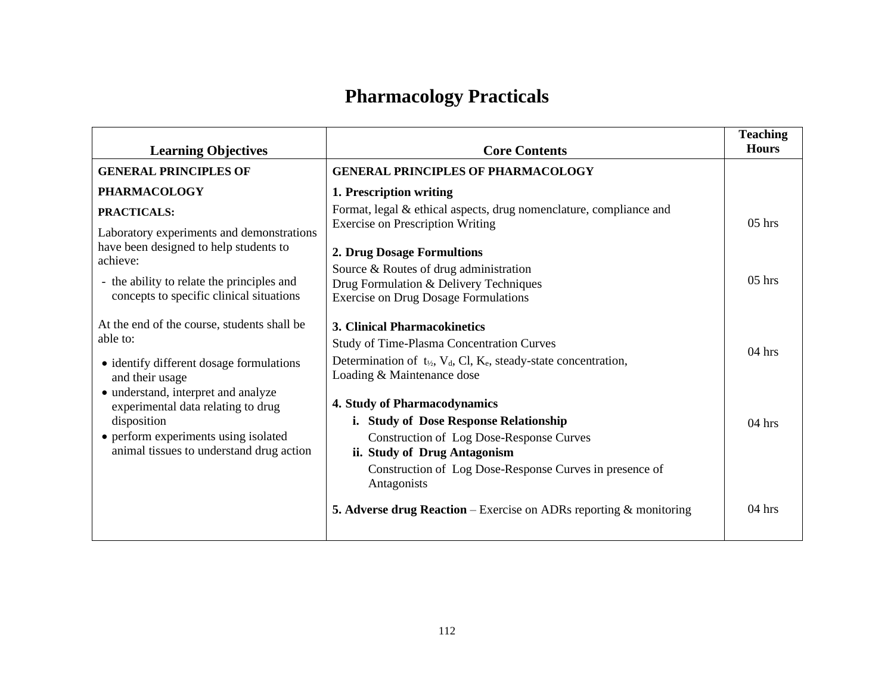# **Pharmacology Practicals**

| <b>Learning Objectives</b>                                                             | <b>Core Contents</b>                                                                                                            | <b>Teaching</b><br><b>Hours</b> |
|----------------------------------------------------------------------------------------|---------------------------------------------------------------------------------------------------------------------------------|---------------------------------|
| <b>GENERAL PRINCIPLES OF</b>                                                           | <b>GENERAL PRINCIPLES OF PHARMACOLOGY</b>                                                                                       |                                 |
| <b>PHARMACOLOGY</b>                                                                    | 1. Prescription writing                                                                                                         |                                 |
| PRACTICALS:<br>Laboratory experiments and demonstrations                               | Format, legal & ethical aspects, drug nomenclature, compliance and<br><b>Exercise on Prescription Writing</b>                   | $05$ hrs                        |
| have been designed to help students to<br>achieve:                                     | 2. Drug Dosage Formultions                                                                                                      |                                 |
| - the ability to relate the principles and<br>concepts to specific clinical situations | Source & Routes of drug administration<br>Drug Formulation & Delivery Techniques<br><b>Exercise on Drug Dosage Formulations</b> | $05$ hrs                        |
| At the end of the course, students shall be                                            | 3. Clinical Pharmacokinetics                                                                                                    |                                 |
| able to:                                                                               | <b>Study of Time-Plasma Concentration Curves</b>                                                                                | $04$ hrs                        |
| • identify different dosage formulations<br>and their usage                            | Determination of $t_{1/2}$ , $V_d$ , Cl, $K_e$ , steady-state concentration,<br>Loading & Maintenance dose                      |                                 |
| • understand, interpret and analyze<br>experimental data relating to drug              | 4. Study of Pharmacodynamics                                                                                                    |                                 |
| disposition                                                                            | i. Study of Dose Response Relationship                                                                                          | $04$ hrs                        |
| • perform experiments using isolated<br>animal tissues to understand drug action       | Construction of Log Dose-Response Curves<br>ii. Study of Drug Antagonism                                                        |                                 |
|                                                                                        | Construction of Log Dose-Response Curves in presence of<br>Antagonists                                                          |                                 |
|                                                                                        | 5. Adverse drug Reaction - Exercise on ADRs reporting & monitoring                                                              | 04 hrs                          |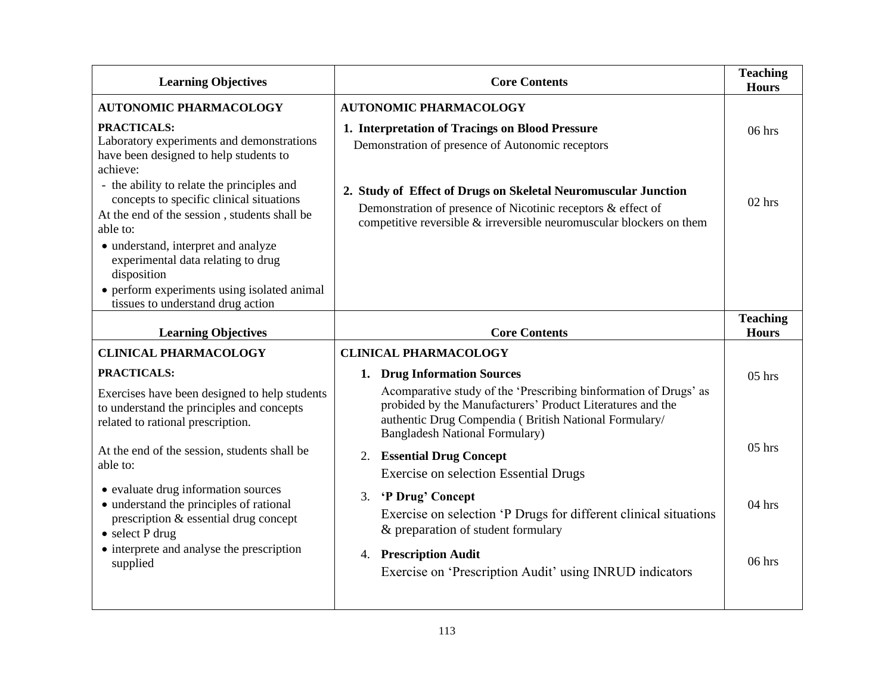| <b>Learning Objectives</b>                                                                                                                         | <b>Core Contents</b>                                                                                                                                                                                                              |                                 |
|----------------------------------------------------------------------------------------------------------------------------------------------------|-----------------------------------------------------------------------------------------------------------------------------------------------------------------------------------------------------------------------------------|---------------------------------|
| <b>AUTONOMIC PHARMACOLOGY</b>                                                                                                                      | <b>AUTONOMIC PHARMACOLOGY</b>                                                                                                                                                                                                     |                                 |
| PRACTICALS:<br>Laboratory experiments and demonstrations<br>have been designed to help students to<br>achieve:                                     | 1. Interpretation of Tracings on Blood Pressure<br>Demonstration of presence of Autonomic receptors                                                                                                                               | $06$ hrs                        |
| - the ability to relate the principles and<br>concepts to specific clinical situations<br>At the end of the session, students shall be<br>able to: | 2. Study of Effect of Drugs on Skeletal Neuromuscular Junction<br>Demonstration of presence of Nicotinic receptors & effect of<br>competitive reversible $\&$ irreversible neuromuscular blockers on them                         | $02$ hrs                        |
| · understand, interpret and analyze<br>experimental data relating to drug<br>disposition<br>• perform experiments using isolated animal            |                                                                                                                                                                                                                                   |                                 |
| tissues to understand drug action                                                                                                                  |                                                                                                                                                                                                                                   |                                 |
| <b>Learning Objectives</b>                                                                                                                         | <b>Core Contents</b>                                                                                                                                                                                                              | <b>Teaching</b><br><b>Hours</b> |
| <b>CLINICAL PHARMACOLOGY</b>                                                                                                                       | <b>CLINICAL PHARMACOLOGY</b>                                                                                                                                                                                                      |                                 |
| PRACTICALS:                                                                                                                                        | 1. Drug Information Sources                                                                                                                                                                                                       | $05$ hrs                        |
| Exercises have been designed to help students<br>to understand the principles and concepts<br>related to rational prescription.                    | Acomparative study of the 'Prescribing binformation of Drugs' as<br>probided by the Manufacturers' Product Literatures and the<br>authentic Drug Compendia ( British National Formulary/<br><b>Bangladesh National Formulary)</b> |                                 |
| At the end of the session, students shall be<br>able to:                                                                                           | 2. Essential Drug Concept<br><b>Exercise on selection Essential Drugs</b>                                                                                                                                                         | $05$ hrs                        |
| • evaluate drug information sources<br>• understand the principles of rational<br>prescription & essential drug concept<br>$\bullet$ select P drug | 'P Drug' Concept<br>3.<br>Exercise on selection 'P Drugs for different clinical situations<br>& preparation of student formulary                                                                                                  | $04$ hrs                        |
| • interprete and analyse the prescription<br>supplied                                                                                              | 4. Prescription Audit<br>Exercise on 'Prescription Audit' using INRUD indicators                                                                                                                                                  | 06 hrs                          |
|                                                                                                                                                    |                                                                                                                                                                                                                                   |                                 |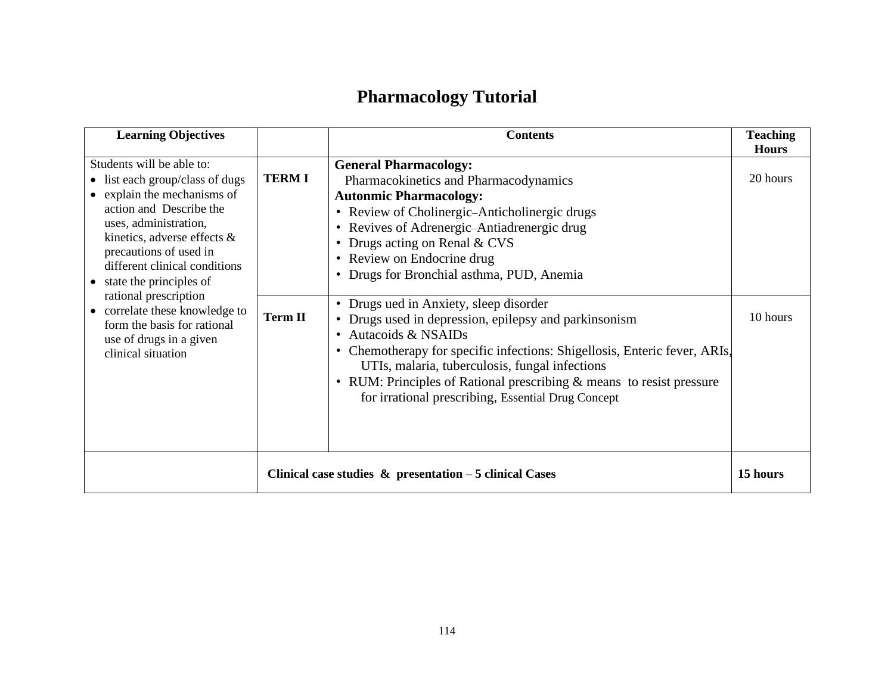# **Pharmacology Tutorial**

| <b>Learning Objectives</b>                                                                                                                                                                                                                                                |                | <b>Contents</b>                                                                                                                                                                                                                                                                                                                                                                                               | <b>Teaching</b><br><b>Hours</b> |
|---------------------------------------------------------------------------------------------------------------------------------------------------------------------------------------------------------------------------------------------------------------------------|----------------|---------------------------------------------------------------------------------------------------------------------------------------------------------------------------------------------------------------------------------------------------------------------------------------------------------------------------------------------------------------------------------------------------------------|---------------------------------|
| Students will be able to:<br>• list each group/class of dugs<br>• explain the mechanisms of<br>action and Describe the<br>uses, administration,<br>kinetics, adverse effects $\&$<br>precautions of used in<br>different clinical conditions<br>• state the principles of | <b>TERMI</b>   | <b>General Pharmacology:</b><br>Pharmacokinetics and Pharmacodynamics<br><b>Autonmic Pharmacology:</b><br>• Review of Cholinergic-Anticholinergic drugs<br>• Revives of Adrenergic-Antiadrenergic drug<br>Drugs acting on Renal & CVS<br>٠<br>• Review on Endocrine drug<br>• Drugs for Bronchial asthma, PUD, Anemia                                                                                         | 20 hours                        |
| rational prescription<br>• correlate these knowledge to<br>form the basis for rational<br>use of drugs in a given<br>clinical situation                                                                                                                                   | <b>Term II</b> | • Drugs ued in Anxiety, sleep disorder<br>Drugs used in depression, epilepsy and parkinsonism<br>$\bullet$<br>Autacoids & NSAIDs<br>$\bullet$<br>Chemotherapy for specific infections: Shigellosis, Enteric fever, ARIs,<br>٠<br>UTIs, malaria, tuberculosis, fungal infections<br>• RUM: Principles of Rational prescribing & means to resist pressure<br>for irrational prescribing, Essential Drug Concept | 10 hours                        |
|                                                                                                                                                                                                                                                                           |                | Clinical case studies $\&$ presentation $-5$ clinical Cases                                                                                                                                                                                                                                                                                                                                                   | 15 hours                        |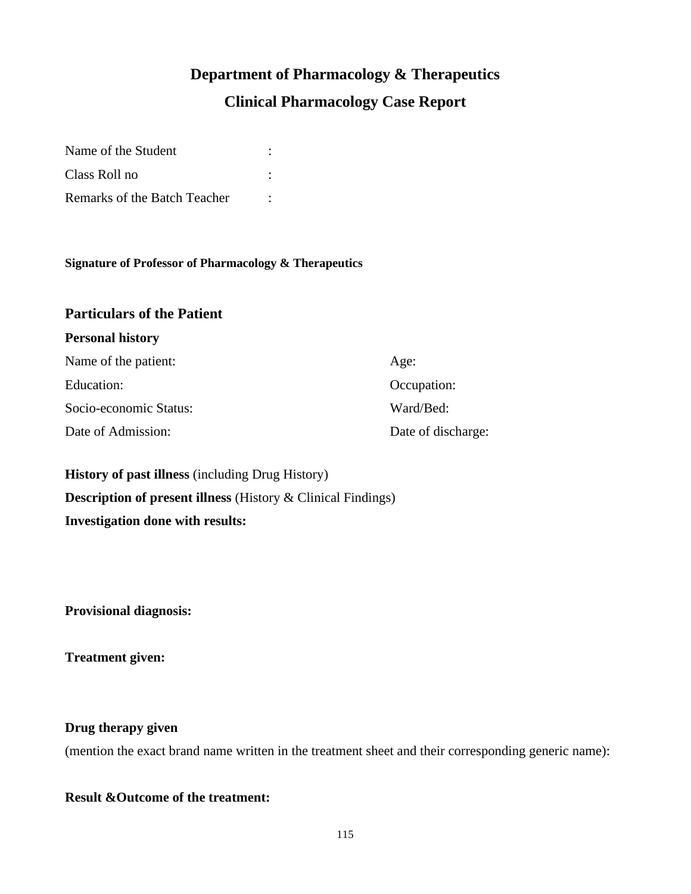# **Department of Pharmacology & Therapeutics Clinical Pharmacology Case Report**

| Name of the Student          |  |
|------------------------------|--|
| Class Roll no                |  |
| Remarks of the Batch Teacher |  |

#### **Signature of Professor of Pharmacology & Therapeutics**

#### **Particulars of the Patient**

| <b>Personal history</b> |                    |
|-------------------------|--------------------|
| Name of the patient:    | Age:               |
| Education:              | Occupation:        |
| Socio-economic Status:  | Ward/Bed:          |
| Date of Admission:      | Date of discharge: |

**History of past illness** (including Drug History) **Description of present illness** (History & Clinical Findings) **Investigation done with results:**

**Provisional diagnosis:**

**Treatment given:**

#### **Drug therapy given**

(mention the exact brand name written in the treatment sheet and their corresponding generic name):

#### **Result &Outcome of the treatment:**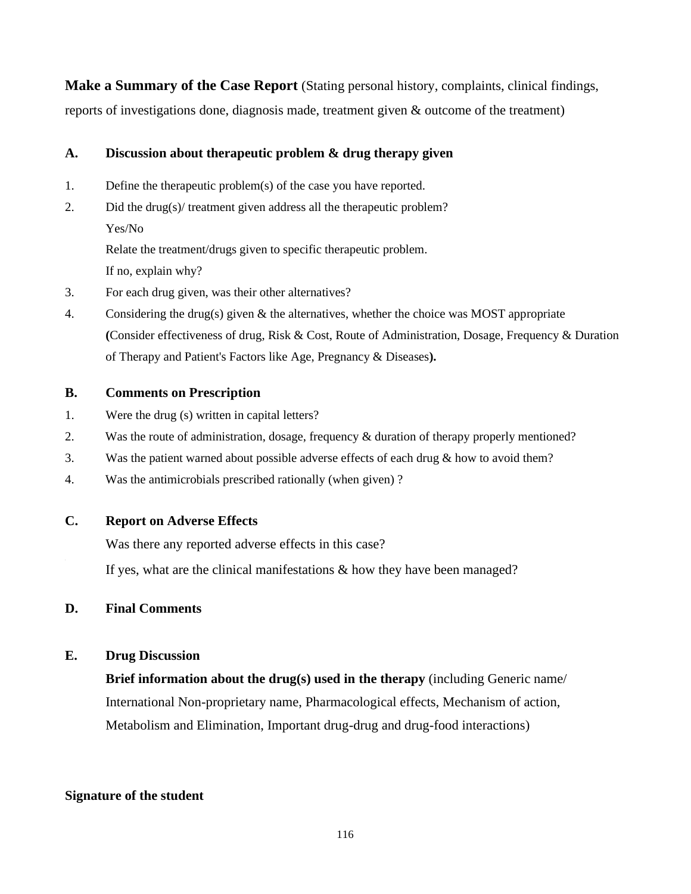**Make a Summary of the Case Report** (Stating personal history, complaints, clinical findings, reports of investigations done, diagnosis made, treatment given & outcome of the treatment)

#### **A. Discussion about therapeutic problem & drug therapy given**

- 1. Define the therapeutic problem(s) of the case you have reported.
- 2. Did the drug(s)/ treatment given address all the therapeutic problem? Yes/No

Relate the treatment/drugs given to specific therapeutic problem. If no, explain why?

- 3. For each drug given, was their other alternatives?
- 4. Considering the drug(s) given & the alternatives, whether the choice was MOST appropriate **(**Consider effectiveness of drug, Risk & Cost, Route of Administration, Dosage, Frequency & Duration of Therapy and Patient's Factors like Age, Pregnancy & Diseases**).**

#### **B. Comments on Prescription**

- 1. Were the drug (s) written in capital letters?
- 2. Was the route of administration, dosage, frequency & duration of therapy properly mentioned?
- 3. Was the patient warned about possible adverse effects of each drug & how to avoid them?
- 4. Was the antimicrobials prescribed rationally (when given) ?

#### **C. Report on Adverse Effects**

Was there any reported adverse effects in this case?

If yes, what are the clinical manifestations & how they have been managed?

#### **D. Final Comments**

#### **E. Drug Discussion**

**Brief information about the drug(s) used in the therapy** (including Generic name/ International Non-proprietary name, Pharmacological effects, Mechanism of action, Metabolism and Elimination, Important drug-drug and drug-food interactions)

#### **Signature of the student**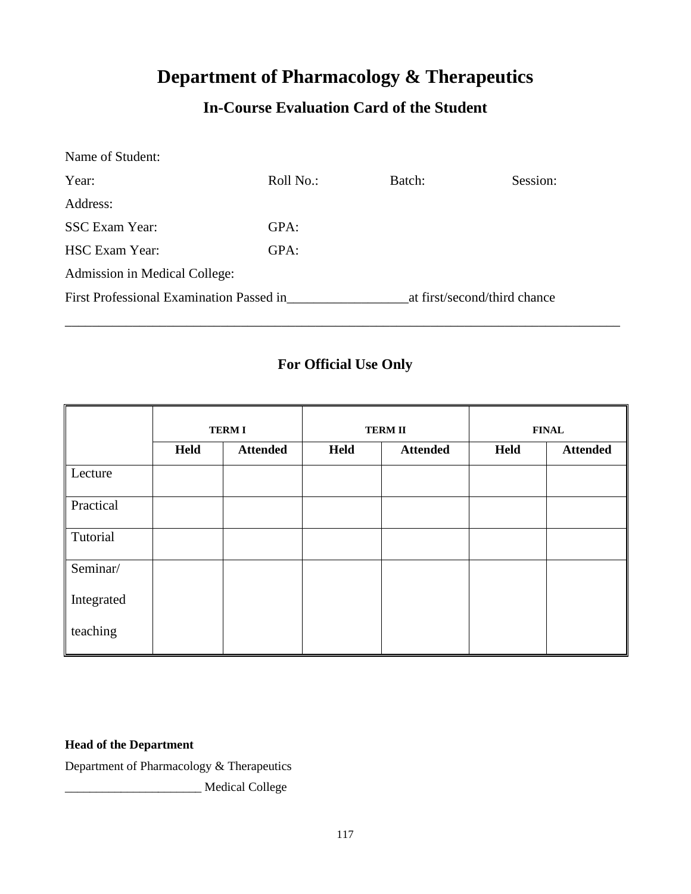## **Department of Pharmacology & Therapeutics**

### **In-Course Evaluation Card of the Student**

| Name of Student:                         |           |                              |          |
|------------------------------------------|-----------|------------------------------|----------|
| Year:                                    | Roll No.: | Batch:                       | Session: |
| Address:                                 |           |                              |          |
| <b>SSC</b> Exam Year:                    | GPA:      |                              |          |
| <b>HSC Exam Year:</b>                    | GPA:      |                              |          |
| Admission in Medical College:            |           |                              |          |
| First Professional Examination Passed in |           | at first/second/third chance |          |

### **For Official Use Only**

\_\_\_\_\_\_\_\_\_\_\_\_\_\_\_\_\_\_\_\_\_\_\_\_\_\_\_\_\_\_\_\_\_\_\_\_\_\_\_\_\_\_\_\_\_\_\_\_\_\_\_\_\_\_\_\_\_\_\_\_\_\_\_\_\_\_\_\_\_\_\_\_\_\_\_\_\_\_\_\_\_\_

|            | <b>TERMI</b> |                 | <b>TERM II</b> |                 | <b>FINAL</b> |                 |
|------------|--------------|-----------------|----------------|-----------------|--------------|-----------------|
|            | Held         | <b>Attended</b> | Held           | <b>Attended</b> | Held         | <b>Attended</b> |
| Lecture    |              |                 |                |                 |              |                 |
| Practical  |              |                 |                |                 |              |                 |
| Tutorial   |              |                 |                |                 |              |                 |
| Seminar/   |              |                 |                |                 |              |                 |
| Integrated |              |                 |                |                 |              |                 |
| teaching   |              |                 |                |                 |              |                 |

#### **Head of the Department**

Department of Pharmacology & Therapeutics

\_\_\_\_\_\_\_\_\_\_\_\_\_\_\_\_\_\_\_\_\_\_ Medical College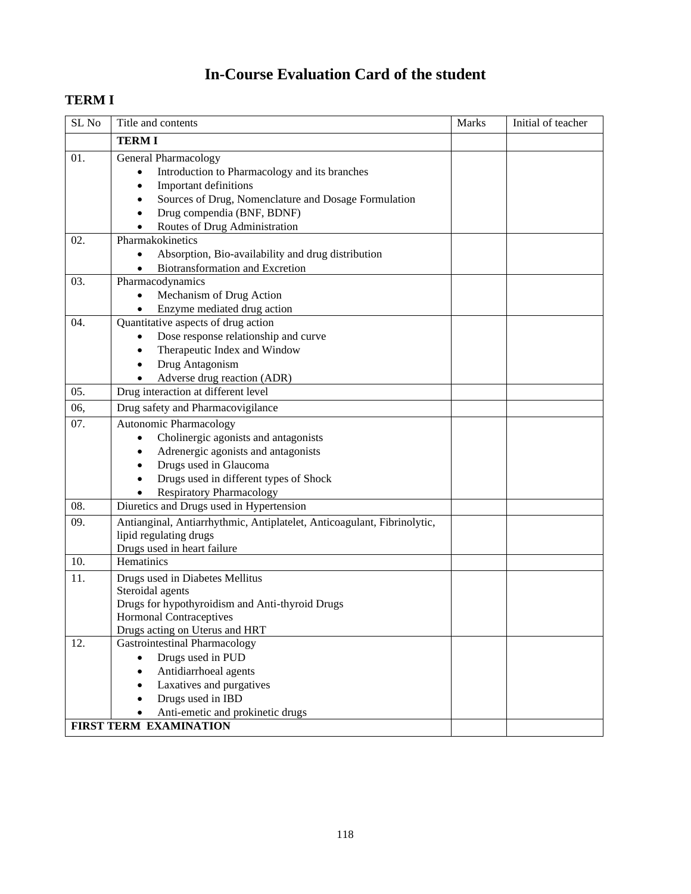## **In-Course Evaluation Card of the student**

### **TERM I**

| SL <sub>No</sub> | Title and contents                                                      | Marks | Initial of teacher |
|------------------|-------------------------------------------------------------------------|-------|--------------------|
|                  | <b>TERMI</b>                                                            |       |                    |
| 01.              | General Pharmacology                                                    |       |                    |
|                  | Introduction to Pharmacology and its branches                           |       |                    |
|                  | Important definitions                                                   |       |                    |
|                  | Sources of Drug, Nomenclature and Dosage Formulation                    |       |                    |
|                  | Drug compendia (BNF, BDNF)                                              |       |                    |
|                  | Routes of Drug Administration                                           |       |                    |
| 02.              | Pharmakokinetics                                                        |       |                    |
|                  | Absorption, Bio-availability and drug distribution                      |       |                    |
|                  | Biotransformation and Excretion                                         |       |                    |
| 03.              | Pharmacodynamics                                                        |       |                    |
|                  | Mechanism of Drug Action                                                |       |                    |
|                  | Enzyme mediated drug action                                             |       |                    |
| 04.              | Quantitative aspects of drug action                                     |       |                    |
|                  | Dose response relationship and curve                                    |       |                    |
|                  | Therapeutic Index and Window                                            |       |                    |
|                  | Drug Antagonism                                                         |       |                    |
|                  | Adverse drug reaction (ADR)                                             |       |                    |
| 05.              | Drug interaction at different level                                     |       |                    |
| 06,              | Drug safety and Pharmacovigilance                                       |       |                    |
| 07.              | Autonomic Pharmacology                                                  |       |                    |
|                  | Cholinergic agonists and antagonists<br>$\bullet$                       |       |                    |
|                  | Adrenergic agonists and antagonists                                     |       |                    |
|                  | Drugs used in Glaucoma                                                  |       |                    |
|                  | Drugs used in different types of Shock                                  |       |                    |
|                  | <b>Respiratory Pharmacology</b>                                         |       |                    |
| 08.              | Diuretics and Drugs used in Hypertension                                |       |                    |
| 09.              | Antianginal, Antiarrhythmic, Antiplatelet, Anticoagulant, Fibrinolytic, |       |                    |
|                  | lipid regulating drugs<br>Drugs used in heart failure                   |       |                    |
| 10.              | Hematinics                                                              |       |                    |
|                  |                                                                         |       |                    |
| 11.              | Drugs used in Diabetes Mellitus<br>Steroidal agents                     |       |                    |
|                  | Drugs for hypothyroidism and Anti-thyroid Drugs                         |       |                    |
|                  | <b>Hormonal Contraceptives</b>                                          |       |                    |
|                  | Drugs acting on Uterus and HRT                                          |       |                    |
| 12.              | <b>Gastrointestinal Pharmacology</b>                                    |       |                    |
|                  | Drugs used in PUD                                                       |       |                    |
|                  | Antidiarrhoeal agents                                                   |       |                    |
|                  | Laxatives and purgatives                                                |       |                    |
|                  | Drugs used in IBD                                                       |       |                    |
|                  | Anti-emetic and prokinetic drugs                                        |       |                    |
|                  | FIRST TERM EXAMINATION                                                  |       |                    |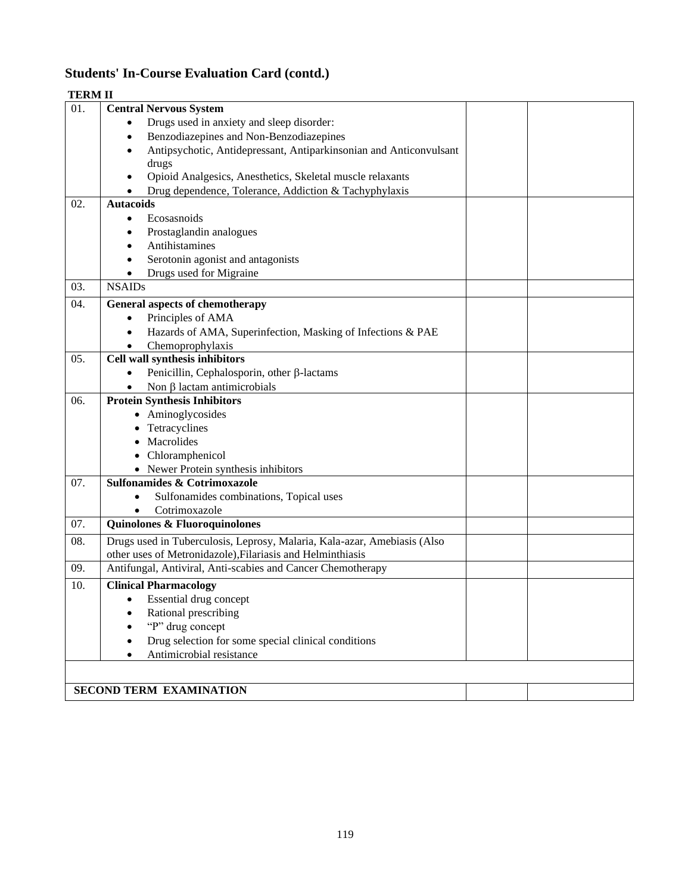### **Students' In-Course Evaluation Card (contd.)**

| <b>TERM II</b> |                                                                          |
|----------------|--------------------------------------------------------------------------|
| 01.            | <b>Central Nervous System</b>                                            |
|                | Drugs used in anxiety and sleep disorder:                                |
|                | Benzodiazepines and Non-Benzodiazepines<br>٠                             |
|                | Antipsychotic, Antidepressant, Antiparkinsonian and Anticonvulsant       |
|                | drugs                                                                    |
|                | Opioid Analgesics, Anesthetics, Skeletal muscle relaxants                |
|                | Drug dependence, Tolerance, Addiction & Tachyphylaxis                    |
| 02.            | <b>Autacoids</b>                                                         |
|                | Ecosasnoids<br>٠                                                         |
|                | Prostaglandin analogues                                                  |
|                | Antihistamines<br>$\bullet$                                              |
|                | Serotonin agonist and antagonists<br>$\bullet$                           |
|                | Drugs used for Migraine                                                  |
| 03.            | <b>NSAIDs</b>                                                            |
| 04.            | General aspects of chemotherapy                                          |
|                | Principles of AMA<br>$\bullet$                                           |
|                | Hazards of AMA, Superinfection, Masking of Infections & PAE<br>$\bullet$ |
|                | Chemoprophylaxis                                                         |
| 05.            | Cell wall synthesis inhibitors                                           |
|                | Penicillin, Cephalosporin, other β-lactams<br>$\bullet$                  |
|                | Non β lactam antimicrobials                                              |
| 06.            | <b>Protein Synthesis Inhibitors</b>                                      |
|                | • Aminoglycosides                                                        |
|                | Tetracyclines                                                            |
|                | Macrolides                                                               |
|                | • Chloramphenicol                                                        |
|                | • Newer Protein synthesis inhibitors                                     |
| 07.            | Sulfonamides & Cotrimoxazole                                             |
|                | Sulfonamides combinations, Topical uses                                  |
|                | Cotrimoxazole                                                            |
| 07.            | Quinolones & Fluoroquinolones                                            |
| 08.            | Drugs used in Tuberculosis, Leprosy, Malaria, Kala-azar, Amebiasis (Also |
|                | other uses of Metronidazole), Filariasis and Helminthiasis               |
| 09.            | Antifungal, Antiviral, Anti-scabies and Cancer Chemotherapy              |
| 10.            | <b>Clinical Pharmacology</b>                                             |
|                | Essential drug concept                                                   |
|                | Rational prescribing                                                     |
|                | "P" drug concept                                                         |
|                | Drug selection for some special clinical conditions                      |
|                | Antimicrobial resistance                                                 |
|                |                                                                          |
|                | <b>SECOND TERM EXAMINATION</b>                                           |
|                |                                                                          |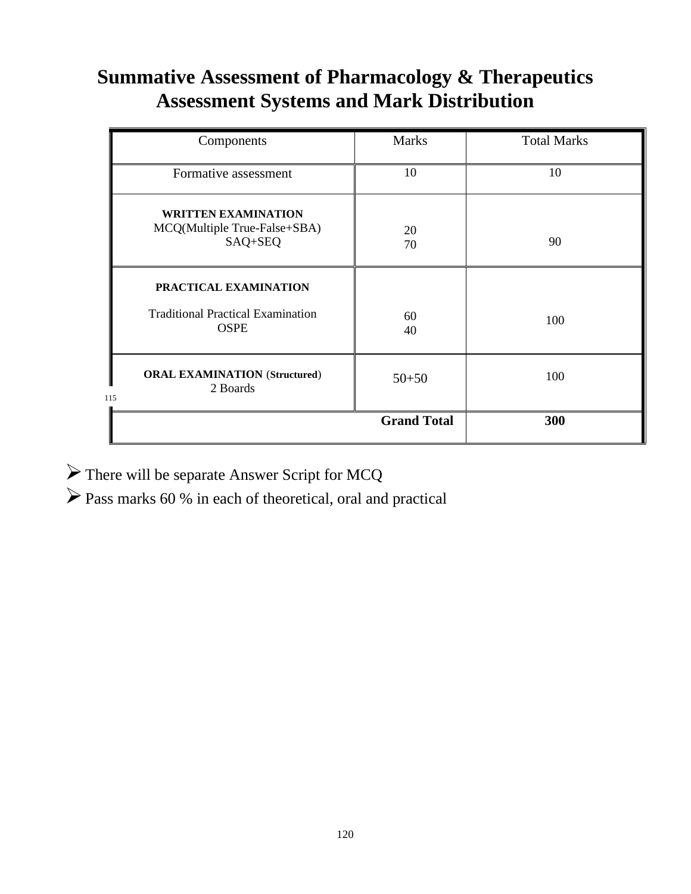# **Summative Assessment of Pharmacology & Therapeutics Assessment Systems and Mark Distribution**

| Components                                                                       | <b>Marks</b>       | <b>Total Marks</b> |
|----------------------------------------------------------------------------------|--------------------|--------------------|
| Formative assessment                                                             | 10                 | 10                 |
| <b>WRITTEN EXAMINATION</b><br>MCQ(Multiple True-False+SBA)<br>SAQ+SEQ            | 20<br>70           | 90                 |
| PRACTICAL EXAMINATION<br><b>Traditional Practical Examination</b><br><b>OSPE</b> | 60<br>40           | 100                |
| <b>ORAL EXAMINATION (Structured)</b><br>2 Boards<br>115                          | $50 + 50$          | 100                |
|                                                                                  | <b>Grand Total</b> | 300                |

➢There will be separate Answer Script for MCQ

➢Pass marks 60 % in each of theoretical, oral and practical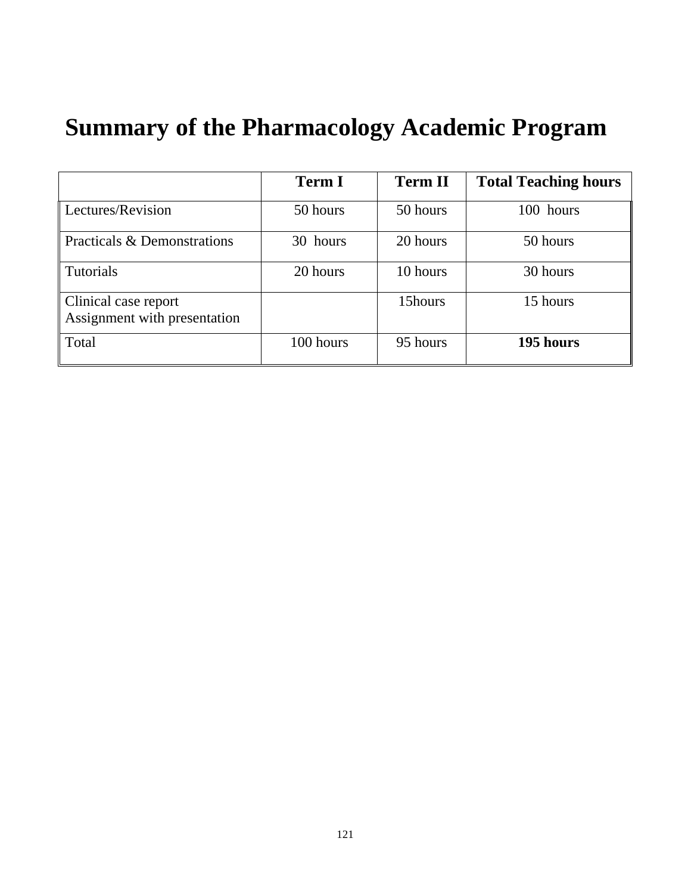# **Summary of the Pharmacology Academic Program**

|                                                      | <b>Term I</b> | <b>Term II</b> | <b>Total Teaching hours</b> |
|------------------------------------------------------|---------------|----------------|-----------------------------|
| Lectures/Revision                                    | 50 hours      | 50 hours       | 100 hours                   |
| Practicals & Demonstrations                          | 30 hours      | 20 hours       | 50 hours                    |
| Tutorials                                            | 20 hours      | 10 hours       | 30 hours                    |
| Clinical case report<br>Assignment with presentation |               | 15hours        | 15 hours                    |
| Total                                                | 100 hours     | 95 hours       | 195 hours                   |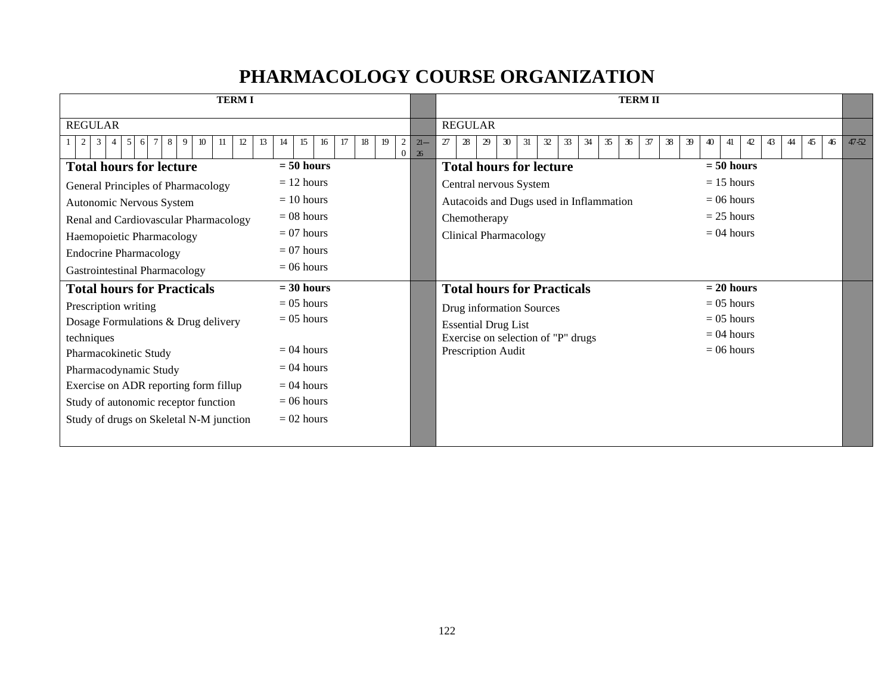## **PHARMACOLOGY COURSE ORGANIZATION**

| <b>TERMI</b>                                                         |                                              |                       | <b>TERM II</b>                                                           |                                              |           |
|----------------------------------------------------------------------|----------------------------------------------|-----------------------|--------------------------------------------------------------------------|----------------------------------------------|-----------|
| <b>REGULAR</b>                                                       |                                              |                       | <b>REGULAR</b>                                                           |                                              |           |
| 2<br>5<br>8<br>12<br>13<br>3<br><sup>6</sup><br>$\overline{4}$<br>-9 | 19<br>$\overline{2}$<br>15<br>16<br>18<br>14 | $21 -$<br>$0 \mid 26$ | 28<br>$32\,$<br>34<br>36<br>38<br>27<br>29<br>30<br>31<br>33<br>35<br>37 | 46<br>39<br>45<br>40<br>42<br>43<br>44<br>41 | $47 - 52$ |
| <b>Total hours for lecture</b>                                       | $= 50$ hours                                 |                       | <b>Total hours for lecture</b>                                           | $= 50$ hours                                 |           |
| General Principles of Pharmacology                                   | $= 12$ hours                                 |                       | Central nervous System                                                   | $= 15$ hours                                 |           |
| Autonomic Nervous System                                             | $= 10$ hours                                 |                       | Autacoids and Dugs used in Inflammation                                  | $= 06$ hours                                 |           |
| Renal and Cardiovascular Pharmacology                                | $= 08$ hours                                 |                       | Chemotherapy                                                             | $= 25$ hours                                 |           |
| Haemopoietic Pharmacology                                            | $= 07$ hours                                 |                       | <b>Clinical Pharmacology</b>                                             | $= 04$ hours                                 |           |
| <b>Endocrine Pharmacology</b>                                        | $= 07$ hours                                 |                       |                                                                          |                                              |           |
| <b>Gastrointestinal Pharmacology</b>                                 | $= 06$ hours                                 |                       |                                                                          |                                              |           |
| <b>Total hours for Practicals</b>                                    | $= 30$ hours                                 |                       | <b>Total hours for Practicals</b>                                        | $= 20$ hours                                 |           |
| Prescription writing                                                 | $= 0.5$ hours                                |                       | Drug information Sources                                                 | $= 0.5$ hours                                |           |
| Dosage Formulations & Drug delivery                                  | $= 05$ hours                                 |                       | <b>Essential Drug List</b>                                               | $= 05$ hours                                 |           |
| techniques                                                           |                                              |                       | Exercise on selection of "P" drugs                                       | $= 04$ hours                                 |           |
| Pharmacokinetic Study                                                | $= 04$ hours                                 |                       | Prescription Audit                                                       | $= 06$ hours                                 |           |
| Pharmacodynamic Study                                                | $= 04$ hours                                 |                       |                                                                          |                                              |           |
| Exercise on ADR reporting form fillup                                | $= 04$ hours                                 |                       |                                                                          |                                              |           |
| Study of autonomic receptor function                                 | $= 06$ hours                                 |                       |                                                                          |                                              |           |
| Study of drugs on Skeletal N-M junction                              | $= 02$ hours                                 |                       |                                                                          |                                              |           |
|                                                                      |                                              |                       |                                                                          |                                              |           |